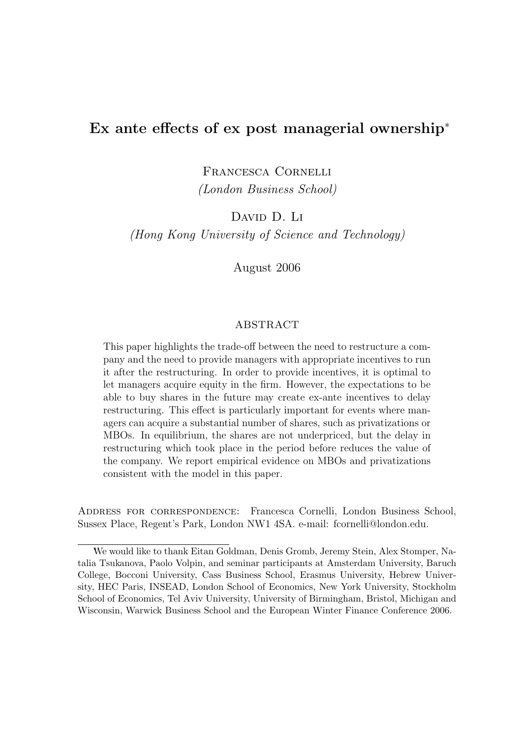# Ex ante effects of ex post managerial ownership<sup>∗</sup>

Francesca Cornelli (London Business School)

DAVID D. LI

(Hong Kong University of Science and Technology)

August 2006

### ABSTRACT

This paper highlights the trade-off between the need to restructure a company and the need to provide managers with appropriate incentives to run it after the restructuring. In order to provide incentives, it is optimal to let managers acquire equity in the firm. However, the expectations to be able to buy shares in the future may create ex-ante incentives to delay restructuring. This effect is particularly important for events where managers can acquire a substantial number of shares, such as privatizations or MBOs. In equilibrium, the shares are not underpriced, but the delay in restructuring which took place in the period before reduces the value of the company. We report empirical evidence on MBOs and privatizations consistent with the model in this paper.

Address for correspondence: Francesca Cornelli, London Business School, Sussex Place, Regent's Park, London NW1 4SA. e-mail: fcornelli@london.edu.

<sup>∗</sup>We would like to thank Eitan Goldman, Denis Gromb, Jeremy Stein, Alex Stomper, Natalia Tsukanova, Paolo Volpin, and seminar participants at Amsterdam University, Baruch College, Bocconi University, Cass Business School, Erasmus University, Hebrew University, HEC Paris, INSEAD, London School of Economics, New York University, Stockholm School of Economics, Tel Aviv University, University of Birmingham, Bristol, Michigan and Wisconsin, Warwick Business School and the European Winter Finance Conference 2006.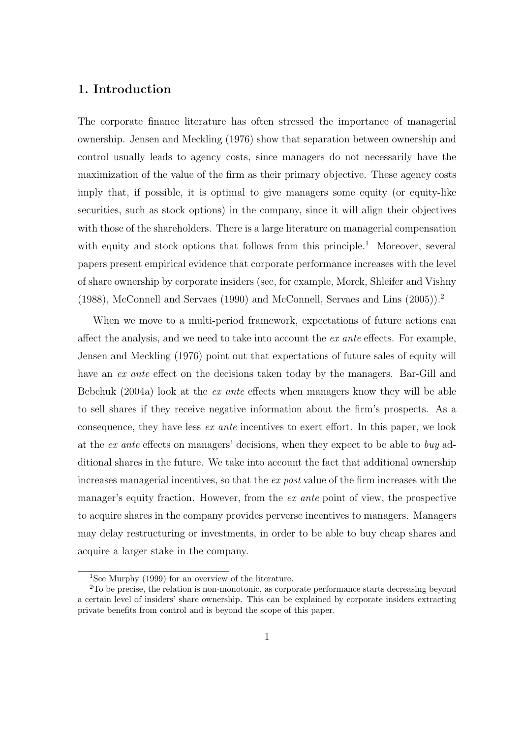# 1. Introduction

The corporate finance literature has often stressed the importance of managerial ownership. Jensen and Meckling (1976) show that separation between ownership and control usually leads to agency costs, since managers do not necessarily have the maximization of the value of the firm as their primary objective. These agency costs imply that, if possible, it is optimal to give managers some equity (or equity-like securities, such as stock options) in the company, since it will align their objectives with those of the shareholders. There is a large literature on managerial compensation with equity and stock options that follows from this principle.<sup>1</sup> Moreover, several papers present empirical evidence that corporate performance increases with the level of share ownership by corporate insiders (see, for example, Morck, Shleifer and Vishny (1988), McConnell and Servaes (1990) and McConnell, Servaes and Lins (2005)).<sup>2</sup>

When we move to a multi-period framework, expectations of future actions can affect the analysis, and we need to take into account the ex ante effects. For example, Jensen and Meckling (1976) point out that expectations of future sales of equity will have an ex ante effect on the decisions taken today by the managers. Bar-Gill and Bebchuk (2004a) look at the *ex ante* effects when managers know they will be able to sell shares if they receive negative information about the firm's prospects. As a consequence, they have less ex ante incentives to exert effort. In this paper, we look at the ex ante effects on managers' decisions, when they expect to be able to buy additional shares in the future. We take into account the fact that additional ownership increases managerial incentives, so that the ex post value of the firm increases with the manager's equity fraction. However, from the ex ante point of view, the prospective to acquire shares in the company provides perverse incentives to managers. Managers may delay restructuring or investments, in order to be able to buy cheap shares and acquire a larger stake in the company.

<sup>1</sup>See Murphy (1999) for an overview of the literature.

<sup>2</sup>To be precise, the relation is non-monotonic, as corporate performance starts decreasing beyond a certain level of insiders' share ownership. This can be explained by corporate insiders extracting private benefits from control and is beyond the scope of this paper.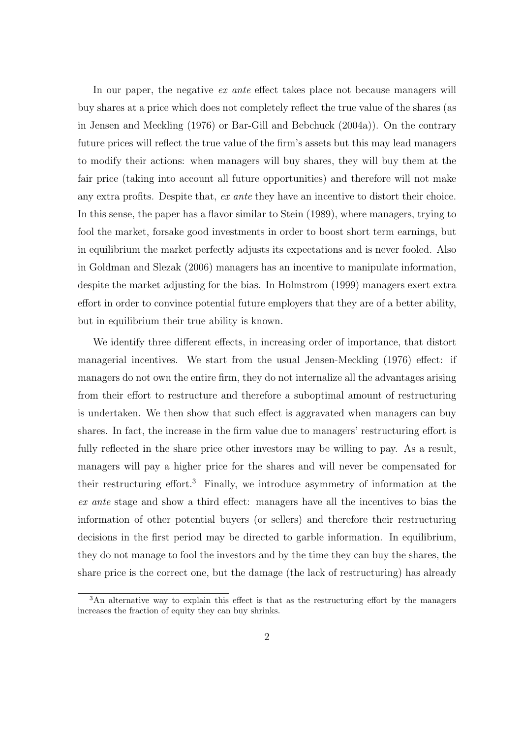In our paper, the negative ex ante effect takes place not because managers will buy shares at a price which does not completely reflect the true value of the shares (as in Jensen and Meckling (1976) or Bar-Gill and Bebchuck (2004a)). On the contrary future prices will reflect the true value of the firm's assets but this may lead managers to modify their actions: when managers will buy shares, they will buy them at the fair price (taking into account all future opportunities) and therefore will not make any extra profits. Despite that, ex ante they have an incentive to distort their choice. In this sense, the paper has a flavor similar to Stein (1989), where managers, trying to fool the market, forsake good investments in order to boost short term earnings, but in equilibrium the market perfectly adjusts its expectations and is never fooled. Also in Goldman and Slezak (2006) managers has an incentive to manipulate information, despite the market adjusting for the bias. In Holmstrom (1999) managers exert extra effort in order to convince potential future employers that they are of a better ability, but in equilibrium their true ability is known.

We identify three different effects, in increasing order of importance, that distort managerial incentives. We start from the usual Jensen-Meckling (1976) effect: if managers do not own the entire firm, they do not internalize all the advantages arising from their effort to restructure and therefore a suboptimal amount of restructuring is undertaken. We then show that such effect is aggravated when managers can buy shares. In fact, the increase in the firm value due to managers' restructuring effort is fully reflected in the share price other investors may be willing to pay. As a result, managers will pay a higher price for the shares and will never be compensated for their restructuring effort.<sup>3</sup> Finally, we introduce asymmetry of information at the ex ante stage and show a third effect: managers have all the incentives to bias the information of other potential buyers (or sellers) and therefore their restructuring decisions in the first period may be directed to garble information. In equilibrium, they do not manage to fool the investors and by the time they can buy the shares, the share price is the correct one, but the damage (the lack of restructuring) has already

<sup>&</sup>lt;sup>3</sup>An alternative way to explain this effect is that as the restructuring effort by the managers increases the fraction of equity they can buy shrinks.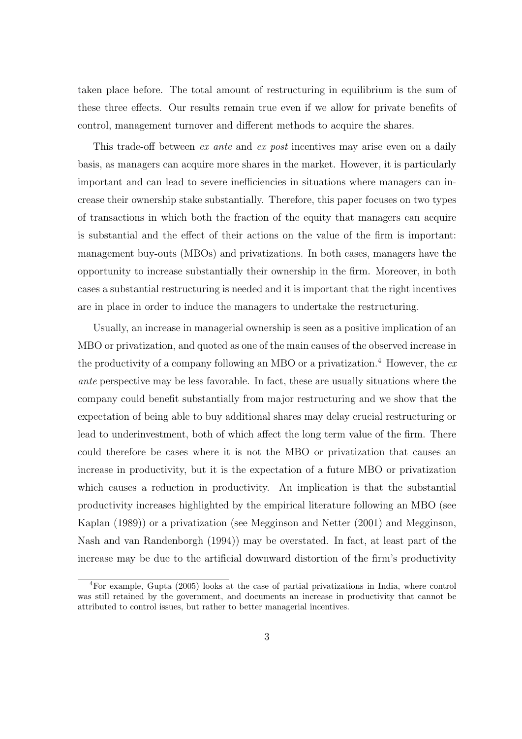taken place before. The total amount of restructuring in equilibrium is the sum of these three effects. Our results remain true even if we allow for private benefits of control, management turnover and different methods to acquire the shares.

This trade-off between ex ante and ex post incentives may arise even on a daily basis, as managers can acquire more shares in the market. However, it is particularly important and can lead to severe inefficiencies in situations where managers can increase their ownership stake substantially. Therefore, this paper focuses on two types of transactions in which both the fraction of the equity that managers can acquire is substantial and the effect of their actions on the value of the firm is important: management buy-outs (MBOs) and privatizations. In both cases, managers have the opportunity to increase substantially their ownership in the firm. Moreover, in both cases a substantial restructuring is needed and it is important that the right incentives are in place in order to induce the managers to undertake the restructuring.

Usually, an increase in managerial ownership is seen as a positive implication of an MBO or privatization, and quoted as one of the main causes of the observed increase in the productivity of a company following an MBO or a privatization.<sup>4</sup> However, the  $ex$ ante perspective may be less favorable. In fact, these are usually situations where the company could benefit substantially from major restructuring and we show that the expectation of being able to buy additional shares may delay crucial restructuring or lead to underinvestment, both of which affect the long term value of the firm. There could therefore be cases where it is not the MBO or privatization that causes an increase in productivity, but it is the expectation of a future MBO or privatization which causes a reduction in productivity. An implication is that the substantial productivity increases highlighted by the empirical literature following an MBO (see Kaplan (1989)) or a privatization (see Megginson and Netter (2001) and Megginson, Nash and van Randenborgh (1994)) may be overstated. In fact, at least part of the increase may be due to the artificial downward distortion of the firm's productivity

<sup>4</sup>For example, Gupta (2005) looks at the case of partial privatizations in India, where control was still retained by the government, and documents an increase in productivity that cannot be attributed to control issues, but rather to better managerial incentives.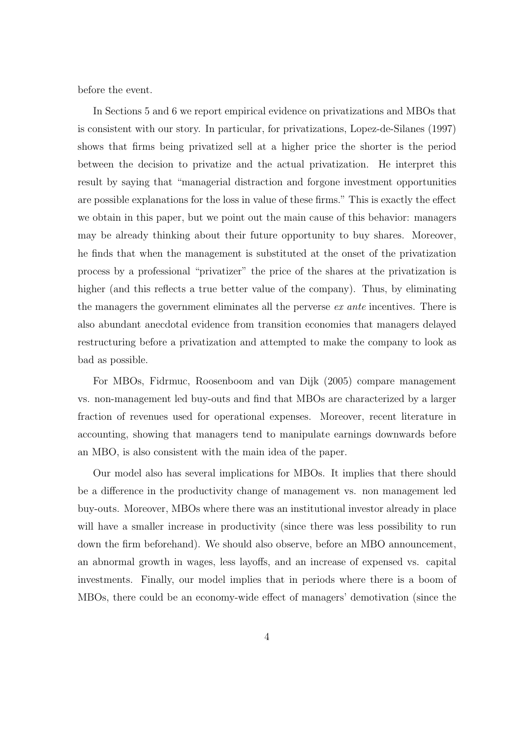before the event.

In Sections 5 and 6 we report empirical evidence on privatizations and MBOs that is consistent with our story. In particular, for privatizations, Lopez-de-Silanes (1997) shows that firms being privatized sell at a higher price the shorter is the period between the decision to privatize and the actual privatization. He interpret this result by saying that "managerial distraction and forgone investment opportunities are possible explanations for the loss in value of these firms." This is exactly the effect we obtain in this paper, but we point out the main cause of this behavior: managers may be already thinking about their future opportunity to buy shares. Moreover, he finds that when the management is substituted at the onset of the privatization process by a professional "privatizer" the price of the shares at the privatization is higher (and this reflects a true better value of the company). Thus, by eliminating the managers the government eliminates all the perverse ex ante incentives. There is also abundant anecdotal evidence from transition economies that managers delayed restructuring before a privatization and attempted to make the company to look as bad as possible.

For MBOs, Fidrmuc, Roosenboom and van Dijk (2005) compare management vs. non-management led buy-outs and find that MBOs are characterized by a larger fraction of revenues used for operational expenses. Moreover, recent literature in accounting, showing that managers tend to manipulate earnings downwards before an MBO, is also consistent with the main idea of the paper.

Our model also has several implications for MBOs. It implies that there should be a difference in the productivity change of management vs. non management led buy-outs. Moreover, MBOs where there was an institutional investor already in place will have a smaller increase in productivity (since there was less possibility to run down the firm beforehand). We should also observe, before an MBO announcement, an abnormal growth in wages, less layoffs, and an increase of expensed vs. capital investments. Finally, our model implies that in periods where there is a boom of MBOs, there could be an economy-wide effect of managers' demotivation (since the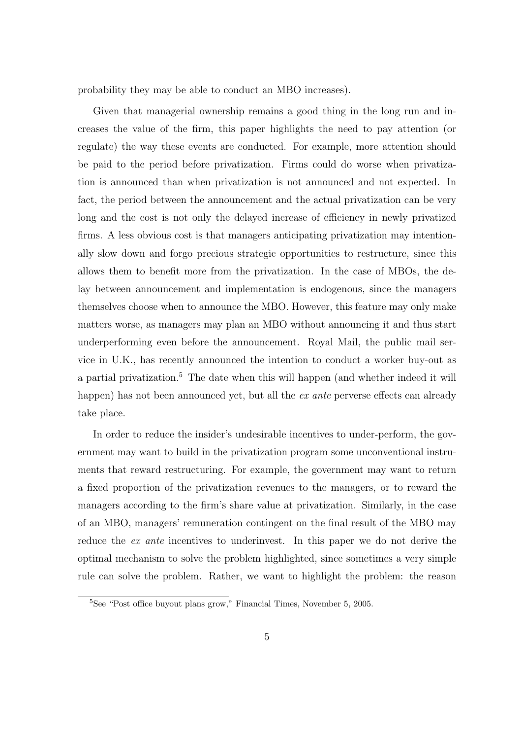probability they may be able to conduct an MBO increases).

Given that managerial ownership remains a good thing in the long run and increases the value of the firm, this paper highlights the need to pay attention (or regulate) the way these events are conducted. For example, more attention should be paid to the period before privatization. Firms could do worse when privatization is announced than when privatization is not announced and not expected. In fact, the period between the announcement and the actual privatization can be very long and the cost is not only the delayed increase of efficiency in newly privatized firms. A less obvious cost is that managers anticipating privatization may intentionally slow down and forgo precious strategic opportunities to restructure, since this allows them to benefit more from the privatization. In the case of MBOs, the delay between announcement and implementation is endogenous, since the managers themselves choose when to announce the MBO. However, this feature may only make matters worse, as managers may plan an MBO without announcing it and thus start underperforming even before the announcement. Royal Mail, the public mail service in U.K., has recently announced the intention to conduct a worker buy-out as a partial privatization.<sup>5</sup> The date when this will happen (and whether indeed it will happen) has not been announced yet, but all the ex ante perverse effects can already take place.

In order to reduce the insider's undesirable incentives to under-perform, the government may want to build in the privatization program some unconventional instruments that reward restructuring. For example, the government may want to return a fixed proportion of the privatization revenues to the managers, or to reward the managers according to the firm's share value at privatization. Similarly, in the case of an MBO, managers' remuneration contingent on the final result of the MBO may reduce the *ex ante* incentives to underinvest. In this paper we do not derive the optimal mechanism to solve the problem highlighted, since sometimes a very simple rule can solve the problem. Rather, we want to highlight the problem: the reason

 $5$ See "Post office buyout plans grow," Financial Times, November 5, 2005.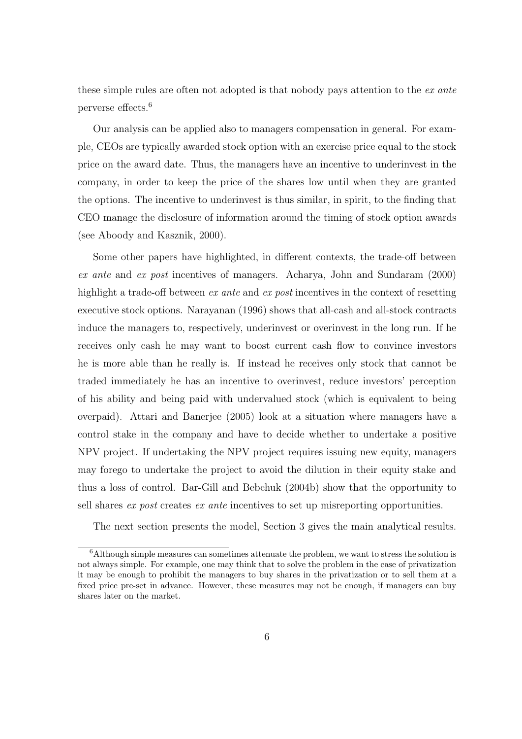these simple rules are often not adopted is that nobody pays attention to the ex ante perverse effects.<sup>6</sup>

Our analysis can be applied also to managers compensation in general. For example, CEOs are typically awarded stock option with an exercise price equal to the stock price on the award date. Thus, the managers have an incentive to underinvest in the company, in order to keep the price of the shares low until when they are granted the options. The incentive to underinvest is thus similar, in spirit, to the finding that CEO manage the disclosure of information around the timing of stock option awards (see Aboody and Kasznik, 2000).

Some other papers have highlighted, in different contexts, the trade-off between ex ante and ex post incentives of managers. Acharya, John and Sundaram (2000) highlight a trade-off between *ex ante* and *ex post* incentives in the context of resetting executive stock options. Narayanan (1996) shows that all-cash and all-stock contracts induce the managers to, respectively, underinvest or overinvest in the long run. If he receives only cash he may want to boost current cash flow to convince investors he is more able than he really is. If instead he receives only stock that cannot be traded immediately he has an incentive to overinvest, reduce investors' perception of his ability and being paid with undervalued stock (which is equivalent to being overpaid). Attari and Banerjee (2005) look at a situation where managers have a control stake in the company and have to decide whether to undertake a positive NPV project. If undertaking the NPV project requires issuing new equity, managers may forego to undertake the project to avoid the dilution in their equity stake and thus a loss of control. Bar-Gill and Bebchuk (2004b) show that the opportunity to sell shares ex post creates ex ante incentives to set up misreporting opportunities.

The next section presents the model, Section 3 gives the main analytical results.

<sup>6</sup>Although simple measures can sometimes attenuate the problem, we want to stress the solution is not always simple. For example, one may think that to solve the problem in the case of privatization it may be enough to prohibit the managers to buy shares in the privatization or to sell them at a fixed price pre-set in advance. However, these measures may not be enough, if managers can buy shares later on the market.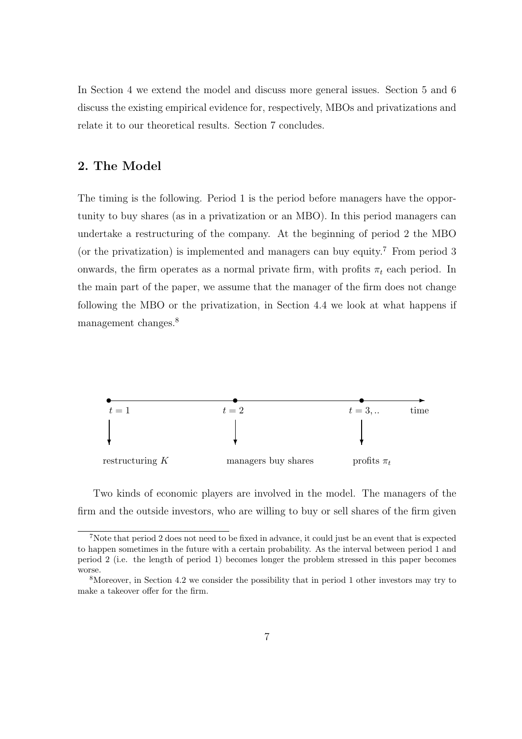In Section 4 we extend the model and discuss more general issues. Section 5 and 6 discuss the existing empirical evidence for, respectively, MBOs and privatizations and relate it to our theoretical results. Section 7 concludes.

### 2. The Model

The timing is the following. Period 1 is the period before managers have the opportunity to buy shares (as in a privatization or an MBO). In this period managers can undertake a restructuring of the company. At the beginning of period 2 the MBO (or the privatization) is implemented and managers can buy equity.<sup>7</sup> From period 3 onwards, the firm operates as a normal private firm, with profits  $\pi_t$  each period. In the main part of the paper, we assume that the manager of the firm does not change following the MBO or the privatization, in Section 4.4 we look at what happens if management changes.<sup>8</sup>



Two kinds of economic players are involved in the model. The managers of the firm and the outside investors, who are willing to buy or sell shares of the firm given

<sup>7</sup>Note that period 2 does not need to be fixed in advance, it could just be an event that is expected to happen sometimes in the future with a certain probability. As the interval between period 1 and period 2 (i.e. the length of period 1) becomes longer the problem stressed in this paper becomes worse.

<sup>8</sup>Moreover, in Section 4.2 we consider the possibility that in period 1 other investors may try to make a takeover offer for the firm.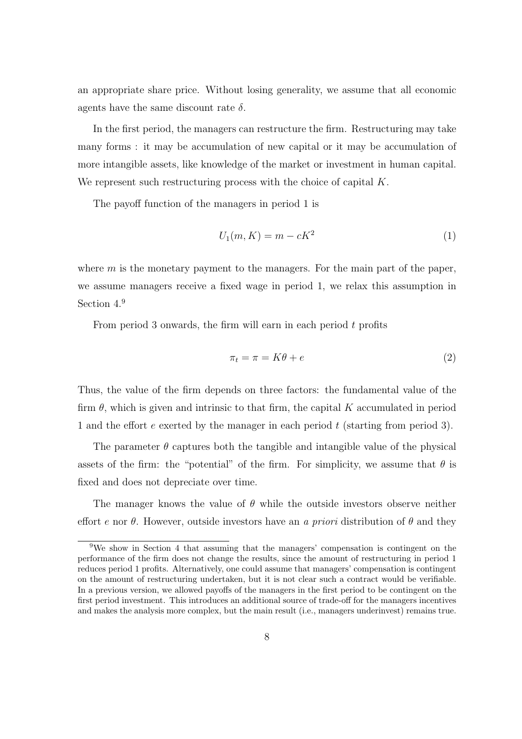an appropriate share price. Without losing generality, we assume that all economic agents have the same discount rate  $\delta$ .

In the first period, the managers can restructure the firm. Restructuring may take many forms : it may be accumulation of new capital or it may be accumulation of more intangible assets, like knowledge of the market or investment in human capital. We represent such restructuring process with the choice of capital  $K$ .

The payoff function of the managers in period 1 is

$$
U_1(m,K) = m - cK^2 \tag{1}
$$

where  $m$  is the monetary payment to the managers. For the main part of the paper, we assume managers receive a fixed wage in period 1, we relax this assumption in Section  $4<sup>9</sup>$ 

From period 3 onwards, the firm will earn in each period t profits

$$
\pi_t = \pi = K\theta + e \tag{2}
$$

Thus, the value of the firm depends on three factors: the fundamental value of the firm  $\theta$ , which is given and intrinsic to that firm, the capital K accumulated in period 1 and the effort  $e$  exerted by the manager in each period  $t$  (starting from period 3).

The parameter  $\theta$  captures both the tangible and intangible value of the physical assets of the firm: the "potential" of the firm. For simplicity, we assume that  $\theta$  is fixed and does not depreciate over time.

The manager knows the value of  $\theta$  while the outside investors observe neither effort e nor  $\theta$ . However, outside investors have an a priori distribution of  $\theta$  and they

<sup>9</sup>We show in Section 4 that assuming that the managers' compensation is contingent on the performance of the firm does not change the results, since the amount of restructuring in period 1 reduces period 1 profits. Alternatively, one could assume that managers' compensation is contingent on the amount of restructuring undertaken, but it is not clear such a contract would be verifiable. In a previous version, we allowed payoffs of the managers in the first period to be contingent on the first period investment. This introduces an additional source of trade-off for the managers incentives and makes the analysis more complex, but the main result (i.e., managers underinvest) remains true.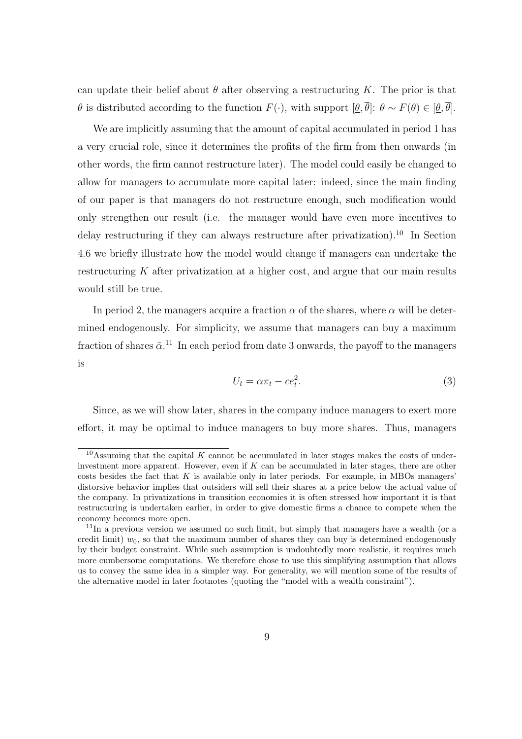can update their belief about  $\theta$  after observing a restructuring K. The prior is that  $θ$  is distributed according to the function  $F(·)$ , with support  $[θ, \overline{θ}]$ :  $θ \sim F(θ) \in [θ, \overline{θ}]$ .

We are implicitly assuming that the amount of capital accumulated in period 1 has a very crucial role, since it determines the profits of the firm from then onwards (in other words, the firm cannot restructure later). The model could easily be changed to allow for managers to accumulate more capital later: indeed, since the main finding of our paper is that managers do not restructure enough, such modification would only strengthen our result (i.e. the manager would have even more incentives to delay restructuring if they can always restructure after privatization).<sup>10</sup> In Section 4.6 we briefly illustrate how the model would change if managers can undertake the restructuring  $K$  after privatization at a higher cost, and argue that our main results would still be true.

In period 2, the managers acquire a fraction  $\alpha$  of the shares, where  $\alpha$  will be determined endogenously. For simplicity, we assume that managers can buy a maximum fraction of shares  $\bar{\alpha}$ <sup>11</sup>. In each period from date 3 onwards, the payoff to the managers is

$$
U_t = \alpha \pi_t - c e_t^2. \tag{3}
$$

Since, as we will show later, shares in the company induce managers to exert more effort, it may be optimal to induce managers to buy more shares. Thus, managers

<sup>&</sup>lt;sup>10</sup>Assuming that the capital K cannot be accumulated in later stages makes the costs of underinvestment more apparent. However, even if  $K$  can be accumulated in later stages, there are other costs besides the fact that  $K$  is available only in later periods. For example, in MBOs managers' distorsive behavior implies that outsiders will sell their shares at a price below the actual value of the company. In privatizations in transition economies it is often stressed how important it is that restructuring is undertaken earlier, in order to give domestic firms a chance to compete when the economy becomes more open.

 $11$ In a previous version we assumed no such limit, but simply that managers have a wealth (or a credit limit)  $w_0$ , so that the maximum number of shares they can buy is determined endogenously by their budget constraint. While such assumption is undoubtedly more realistic, it requires much more cumbersome computations. We therefore chose to use this simplifying assumption that allows us to convey the same idea in a simpler way. For generality, we will mention some of the results of the alternative model in later footnotes (quoting the "model with a wealth constraint").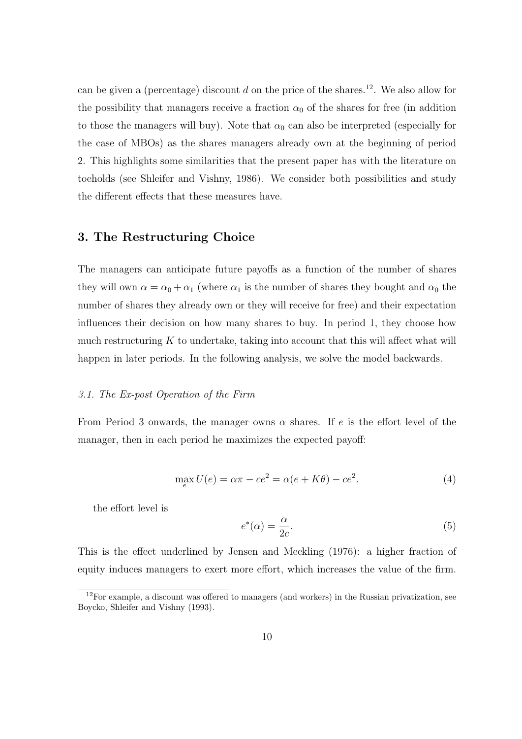can be given a (percentage) discount  $d$  on the price of the shares.<sup>12</sup>. We also allow for the possibility that managers receive a fraction  $\alpha_0$  of the shares for free (in addition to those the managers will buy). Note that  $\alpha_0$  can also be interpreted (especially for the case of MBOs) as the shares managers already own at the beginning of period 2. This highlights some similarities that the present paper has with the literature on toeholds (see Shleifer and Vishny, 1986). We consider both possibilities and study the different effects that these measures have.

### 3. The Restructuring Choice

The managers can anticipate future payoffs as a function of the number of shares they will own  $\alpha = \alpha_0 + \alpha_1$  (where  $\alpha_1$  is the number of shares they bought and  $\alpha_0$  the number of shares they already own or they will receive for free) and their expectation influences their decision on how many shares to buy. In period 1, they choose how much restructuring  $K$  to undertake, taking into account that this will affect what will happen in later periods. In the following analysis, we solve the model backwards.

#### 3.1. The Ex-post Operation of the Firm

From Period 3 onwards, the manager owns  $\alpha$  shares. If e is the effort level of the manager, then in each period he maximizes the expected payoff:

$$
\max_{e} U(e) = \alpha \pi - ce^2 = \alpha(e + K\theta) - ce^2.
$$
\n(4)

the effort level is

$$
e^*(\alpha) = \frac{\alpha}{2c}.\tag{5}
$$

This is the effect underlined by Jensen and Meckling (1976): a higher fraction of equity induces managers to exert more effort, which increases the value of the firm.

 $12$ For example, a discount was offered to managers (and workers) in the Russian privatization, see Boycko, Shleifer and Vishny (1993).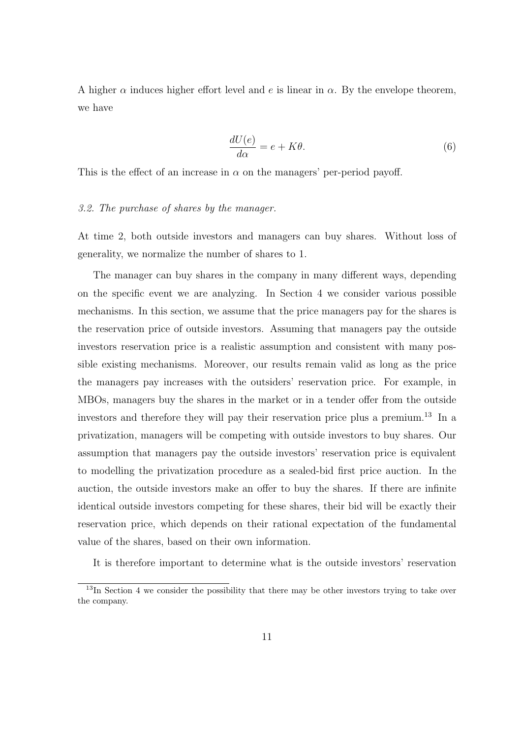A higher  $\alpha$  induces higher effort level and e is linear in  $\alpha$ . By the envelope theorem, we have

$$
\frac{dU(e)}{d\alpha} = e + K\theta.
$$
\n(6)

This is the effect of an increase in  $\alpha$  on the managers' per-period payoff.

#### 3.2. The purchase of shares by the manager.

At time 2, both outside investors and managers can buy shares. Without loss of generality, we normalize the number of shares to 1.

The manager can buy shares in the company in many different ways, depending on the specific event we are analyzing. In Section 4 we consider various possible mechanisms. In this section, we assume that the price managers pay for the shares is the reservation price of outside investors. Assuming that managers pay the outside investors reservation price is a realistic assumption and consistent with many possible existing mechanisms. Moreover, our results remain valid as long as the price the managers pay increases with the outsiders' reservation price. For example, in MBOs, managers buy the shares in the market or in a tender offer from the outside investors and therefore they will pay their reservation price plus a premium.<sup>13</sup> In a privatization, managers will be competing with outside investors to buy shares. Our assumption that managers pay the outside investors' reservation price is equivalent to modelling the privatization procedure as a sealed-bid first price auction. In the auction, the outside investors make an offer to buy the shares. If there are infinite identical outside investors competing for these shares, their bid will be exactly their reservation price, which depends on their rational expectation of the fundamental value of the shares, based on their own information.

It is therefore important to determine what is the outside investors' reservation

<sup>&</sup>lt;sup>13</sup>In Section 4 we consider the possibility that there may be other investors trying to take over the company.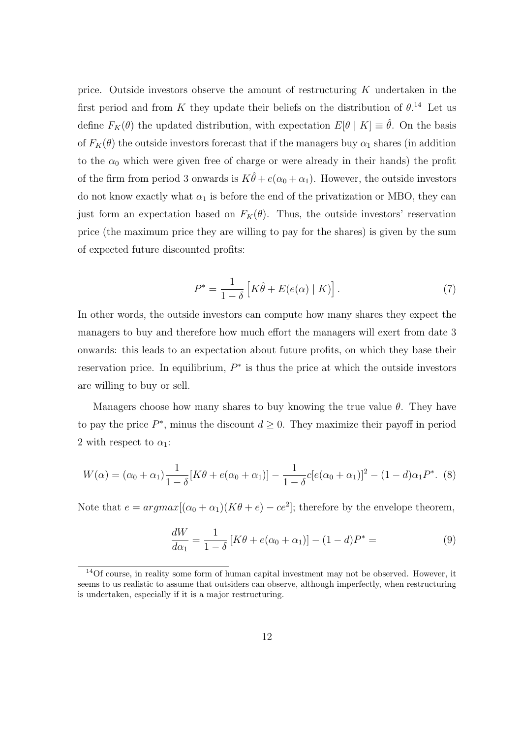price. Outside investors observe the amount of restructuring K undertaken in the first period and from K they update their beliefs on the distribution of  $\theta$ .<sup>14</sup> Let us define  $F_K(\theta)$  the updated distribution, with expectation  $E[\theta | K] \equiv \hat{\theta}$ . On the basis of  $F_K(\theta)$  the outside investors forecast that if the managers buy  $\alpha_1$  shares (in addition to the  $\alpha_0$  which were given free of charge or were already in their hands) the profit of the firm from period 3 onwards is  $K\hat{\theta} + e(\alpha_0 + \alpha_1)$ . However, the outside investors do not know exactly what  $\alpha_1$  is before the end of the privatization or MBO, they can just form an expectation based on  $F_K(\theta)$ . Thus, the outside investors' reservation price (the maximum price they are willing to pay for the shares) is given by the sum of expected future discounted profits:

$$
P^* = \frac{1}{1-\delta} \left[ K\hat{\theta} + E(e(\alpha) \mid K) \right]. \tag{7}
$$

In other words, the outside investors can compute how many shares they expect the managers to buy and therefore how much effort the managers will exert from date 3 onwards: this leads to an expectation about future profits, on which they base their reservation price. In equilibrium,  $P^*$  is thus the price at which the outside investors are willing to buy or sell.

Managers choose how many shares to buy knowing the true value  $\theta$ . They have to pay the price  $P^*$ , minus the discount  $d \geq 0$ . They maximize their payoff in period 2 with respect to  $\alpha_1$ :

$$
W(\alpha) = (\alpha_0 + \alpha_1) \frac{1}{1 - \delta} [K\theta + e(\alpha_0 + \alpha_1)] - \frac{1}{1 - \delta} c [e(\alpha_0 + \alpha_1)]^2 - (1 - d)\alpha_1 P^*.
$$
 (8)

Note that  $e = argmax[(\alpha_0 + \alpha_1)(K\theta + e) - ce^2]$ ; therefore by the envelope theorem,

$$
\frac{dW}{d\alpha_1} = \frac{1}{1-\delta} \left[ K\theta + e(\alpha_0 + \alpha_1) \right] - (1-d)P^* = \tag{9}
$$

<sup>14</sup>Of course, in reality some form of human capital investment may not be observed. However, it seems to us realistic to assume that outsiders can observe, although imperfectly, when restructuring is undertaken, especially if it is a major restructuring.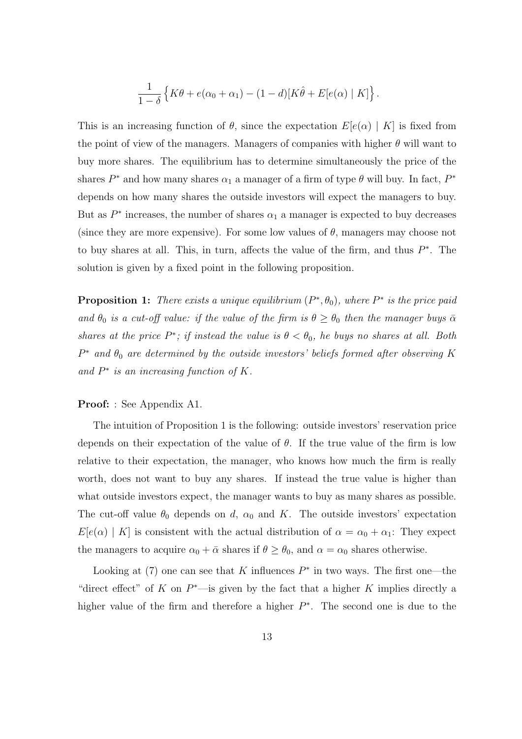$$
\frac{1}{1-\delta}\left\{K\theta + e(\alpha_0 + \alpha_1) - (1-d)[K\hat{\theta} + E[e(\alpha) | K]\right\}.
$$

This is an increasing function of  $\theta$ , since the expectation  $E[e(\alpha) | K]$  is fixed from the point of view of the managers. Managers of companies with higher  $\theta$  will want to buy more shares. The equilibrium has to determine simultaneously the price of the shares  $P^*$  and how many shares  $\alpha_1$  a manager of a firm of type  $\theta$  will buy. In fact,  $P^*$ depends on how many shares the outside investors will expect the managers to buy. But as  $P^*$  increases, the number of shares  $\alpha_1$  a manager is expected to buy decreases (since they are more expensive). For some low values of  $\theta$ , managers may choose not to buy shares at all. This, in turn, affects the value of the firm, and thus  $P^*$ . The solution is given by a fixed point in the following proposition.

**Proposition 1:** There exists a unique equilibrium  $(P^*, \theta_0)$ , where  $P^*$  is the price paid and  $\theta_0$  is a cut-off value: if the value of the firm is  $\theta \ge \theta_0$  then the manager buys  $\bar{\alpha}$ shares at the price  $P^*$ ; if instead the value is  $\theta < \theta_0$ , he buys no shares at all. Both  $P^*$  and  $\theta_0$  are determined by the outside investors' beliefs formed after observing K and  $P^*$  is an increasing function of K.

#### Proof: : See Appendix A1.

The intuition of Proposition 1 is the following: outside investors' reservation price depends on their expectation of the value of  $\theta$ . If the true value of the firm is low relative to their expectation, the manager, who knows how much the firm is really worth, does not want to buy any shares. If instead the true value is higher than what outside investors expect, the manager wants to buy as many shares as possible. The cut-off value  $\theta_0$  depends on d,  $\alpha_0$  and K. The outside investors' expectation  $E[e(\alpha) | K]$  is consistent with the actual distribution of  $\alpha = \alpha_0 + \alpha_1$ : They expect the managers to acquire  $\alpha_0 + \bar{\alpha}$  shares if  $\theta \ge \theta_0$ , and  $\alpha = \alpha_0$  shares otherwise.

Looking at  $(7)$  one can see that K influences  $P^*$  in two ways. The first one—the "direct effect" of K on  $P^*$ —is given by the fact that a higher K implies directly a higher value of the firm and therefore a higher  $P^*$ . The second one is due to the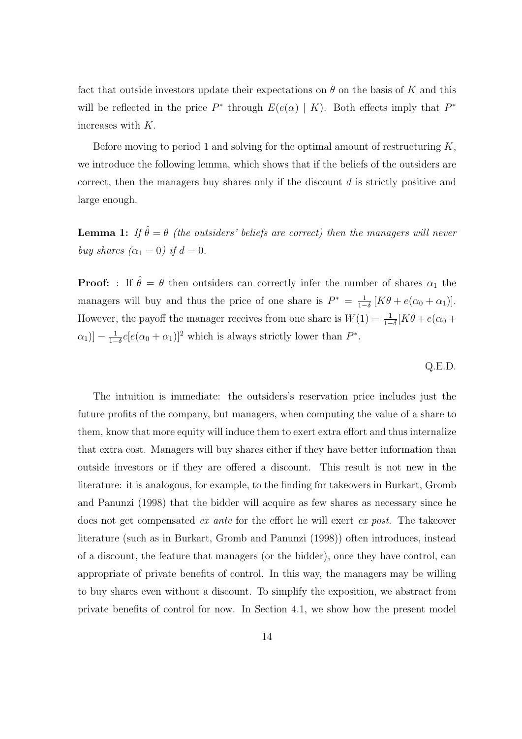fact that outside investors update their expectations on  $\theta$  on the basis of K and this will be reflected in the price  $P^*$  through  $E(e(\alpha) | K)$ . Both effects imply that  $P^*$ increases with K.

Before moving to period 1 and solving for the optimal amount of restructuring  $K$ , we introduce the following lemma, which shows that if the beliefs of the outsiders are correct, then the managers buy shares only if the discount d is strictly positive and large enough.

**Lemma 1:** If  $\hat{\theta} = \theta$  (the outsiders' beliefs are correct) then the managers will never buy shares  $(\alpha_1 = 0)$  if  $d = 0$ .

**Proof:** : If  $\hat{\theta} = \theta$  then outsiders can correctly infer the number of shares  $\alpha_1$  the managers will buy and thus the price of one share is  $P^* = \frac{1}{1-p}$  $\frac{1}{1-\delta}[K\theta + e(\alpha_0 + \alpha_1)].$ However, the payoff the manager receives from one share is  $W(1) = \frac{1}{1-\delta}[K\theta + e(\alpha_0 +$  $\alpha_1)\big] - \frac{1}{1-}$  $\frac{1}{1-\delta}c[e(\alpha_0+\alpha_1)]^2$  which is always strictly lower than  $P^*$ .

Q.E.D.

The intuition is immediate: the outsiders's reservation price includes just the future profits of the company, but managers, when computing the value of a share to them, know that more equity will induce them to exert extra effort and thus internalize that extra cost. Managers will buy shares either if they have better information than outside investors or if they are offered a discount. This result is not new in the literature: it is analogous, for example, to the finding for takeovers in Burkart, Gromb and Panunzi (1998) that the bidder will acquire as few shares as necessary since he does not get compensated ex ante for the effort he will exert ex post. The takeover literature (such as in Burkart, Gromb and Panunzi (1998)) often introduces, instead of a discount, the feature that managers (or the bidder), once they have control, can appropriate of private benefits of control. In this way, the managers may be willing to buy shares even without a discount. To simplify the exposition, we abstract from private benefits of control for now. In Section 4.1, we show how the present model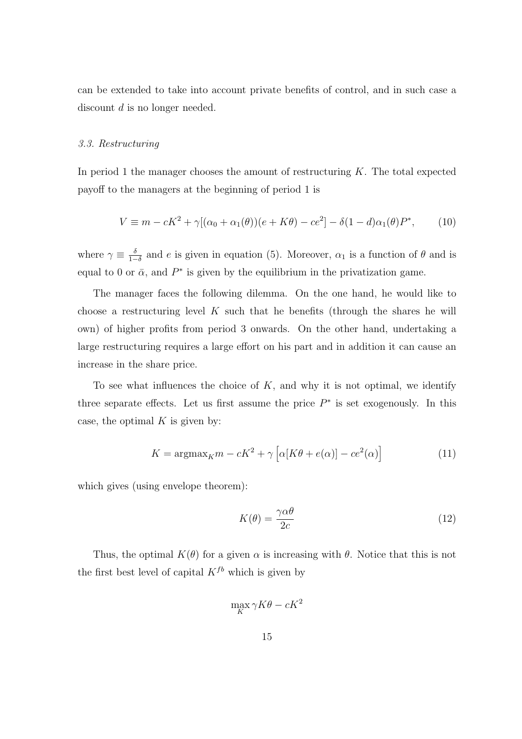can be extended to take into account private benefits of control, and in such case a discount d is no longer needed.

#### 3.3. Restructuring

In period 1 the manager chooses the amount of restructuring  $K$ . The total expected payoff to the managers at the beginning of period 1 is

$$
V \equiv m - cK^2 + \gamma [(\alpha_0 + \alpha_1(\theta)) (e + K\theta) - ce^2] - \delta (1 - d)\alpha_1(\theta) P^*,
$$
 (10)

where  $\gamma \equiv \frac{\delta}{1-\delta}$  $\frac{\delta}{1-\delta}$  and e is given in equation (5). Moreover,  $\alpha_1$  is a function of  $\theta$  and is equal to 0 or  $\bar{\alpha}$ , and  $P^*$  is given by the equilibrium in the privatization game.

The manager faces the following dilemma. On the one hand, he would like to choose a restructuring level  $K$  such that he benefits (through the shares he will own) of higher profits from period 3 onwards. On the other hand, undertaking a large restructuring requires a large effort on his part and in addition it can cause an increase in the share price.

To see what influences the choice of  $K$ , and why it is not optimal, we identify three separate effects. Let us first assume the price  $P^*$  is set exogenously. In this case, the optimal  $K$  is given by:

$$
K = \operatorname{argmax}_{K} m - cK^{2} + \gamma \left[ \alpha [K\theta + e(\alpha)] - ce^{2}(\alpha) \right]
$$
 (11)

which gives (using envelope theorem):

$$
K(\theta) = \frac{\gamma \alpha \theta}{2c} \tag{12}
$$

Thus, the optimal  $K(\theta)$  for a given  $\alpha$  is increasing with  $\theta$ . Notice that this is not the first best level of capital  $K^{fb}$  which is given by

$$
\max_{K} \gamma K\theta - cK^2
$$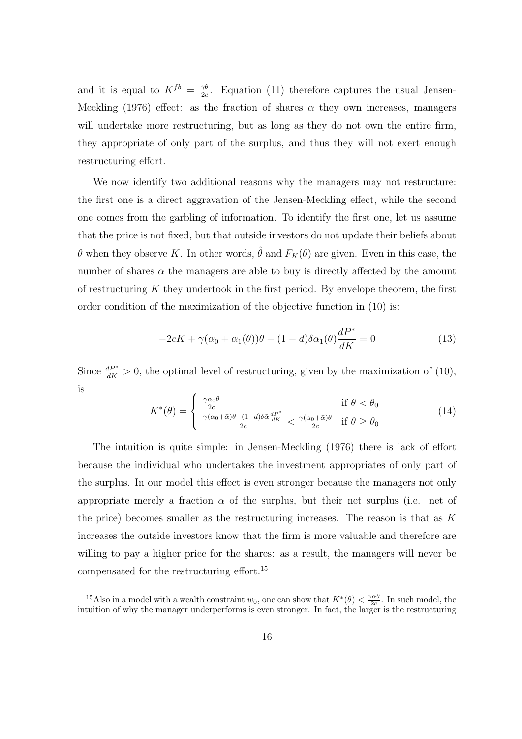and it is equal to  $K^{fb} = \frac{\gamma \theta}{2c}$  $\frac{\gamma\theta}{2c}$ . Equation (11) therefore captures the usual Jensen-Meckling (1976) effect: as the fraction of shares  $\alpha$  they own increases, managers will undertake more restructuring, but as long as they do not own the entire firm, they appropriate of only part of the surplus, and thus they will not exert enough restructuring effort.

We now identify two additional reasons why the managers may not restructure: the first one is a direct aggravation of the Jensen-Meckling effect, while the second one comes from the garbling of information. To identify the first one, let us assume that the price is not fixed, but that outside investors do not update their beliefs about θ when they observe K. In other words, θ and  $F_K(θ)$  are given. Even in this case, the number of shares  $\alpha$  the managers are able to buy is directly affected by the amount of restructuring  $K$  they undertook in the first period. By envelope theorem, the first order condition of the maximization of the objective function in (10) is:

$$
-2cK + \gamma(\alpha_0 + \alpha_1(\theta))\theta - (1 - d)\delta\alpha_1(\theta)\frac{dP^*}{dK} = 0
$$
\n(13)

Since  $\frac{dP^*}{dK} > 0$ , the optimal level of restructuring, given by the maximization of (10), is

$$
K^*(\theta) = \begin{cases} \frac{\gamma \alpha_0 \theta}{2c} & \text{if } \theta < \theta_0\\ \frac{\gamma(\alpha_0 + \bar{\alpha})\theta - (1 - d)\delta \bar{\alpha} \frac{dP^*}{dK}}{2c} < \frac{\gamma(\alpha_0 + \bar{\alpha})\theta}{2c} & \text{if } \theta \ge \theta_0 \end{cases}
$$
(14)

The intuition is quite simple: in Jensen-Meckling (1976) there is lack of effort because the individual who undertakes the investment appropriates of only part of the surplus. In our model this effect is even stronger because the managers not only appropriate merely a fraction  $\alpha$  of the surplus, but their net surplus (i.e. net of the price) becomes smaller as the restructuring increases. The reason is that as  $K$ increases the outside investors know that the firm is more valuable and therefore are willing to pay a higher price for the shares: as a result, the managers will never be compensated for the restructuring effort.<sup>15</sup>

<sup>&</sup>lt;sup>15</sup>Also in a model with a wealth constraint  $w_0$ , one can show that  $K^*(\theta) < \frac{\gamma \alpha \theta}{2c}$ . In such model, the intuition of why the manager underperforms is even stronger. In fact, the larger is the restructuring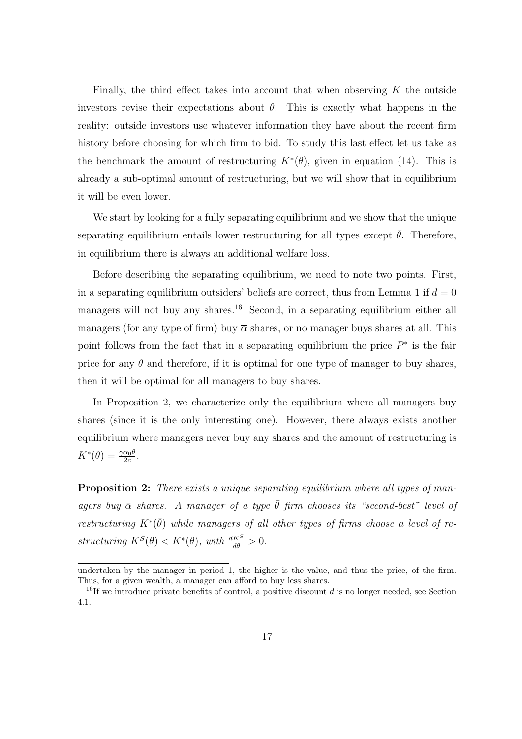Finally, the third effect takes into account that when observing  $K$  the outside investors revise their expectations about  $\theta$ . This is exactly what happens in the reality: outside investors use whatever information they have about the recent firm history before choosing for which firm to bid. To study this last effect let us take as the benchmark the amount of restructuring  $K^*(\theta)$ , given in equation (14). This is already a sub-optimal amount of restructuring, but we will show that in equilibrium it will be even lower.

We start by looking for a fully separating equilibrium and we show that the unique separating equilibrium entails lower restructuring for all types except  $\bar{\theta}$ . Therefore, in equilibrium there is always an additional welfare loss.

Before describing the separating equilibrium, we need to note two points. First, in a separating equilibrium outsiders' beliefs are correct, thus from Lemma 1 if  $d = 0$ managers will not buy any shares.<sup>16</sup> Second, in a separating equilibrium either all managers (for any type of firm) buy  $\overline{\alpha}$  shares, or no manager buys shares at all. This point follows from the fact that in a separating equilibrium the price  $P^*$  is the fair price for any  $\theta$  and therefore, if it is optimal for one type of manager to buy shares, then it will be optimal for all managers to buy shares.

In Proposition 2, we characterize only the equilibrium where all managers buy shares (since it is the only interesting one). However, there always exists another equilibrium where managers never buy any shares and the amount of restructuring is  $K^*(\theta) = \frac{\gamma \alpha_0 \theta}{2c}.$ 

**Proposition 2:** There exists a unique separating equilibrium where all types of managers buy  $\bar{\alpha}$  shares. A manager of a type  $\bar{\theta}$  firm chooses its "second-best" level of restructuring  $K^*(\bar{\theta})$  while managers of all other types of firms choose a level of restructuring  $K^{S}(\theta) < K^{*}(\theta)$ , with  $\frac{dK^{S}}{d\theta} > 0$ .

undertaken by the manager in period 1, the higher is the value, and thus the price, of the firm. Thus, for a given wealth, a manager can afford to buy less shares.

<sup>&</sup>lt;sup>16</sup>If we introduce private benefits of control, a positive discount d is no longer needed, see Section 4.1.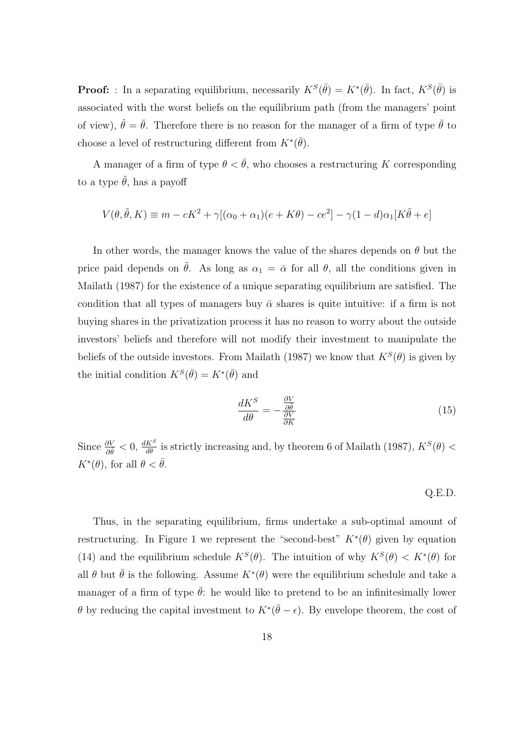**Proof:** : In a separating equilibrium, necessarily  $K^S(\bar{\theta}) = K^*(\bar{\theta})$ . In fact,  $K^S(\bar{\theta})$  is associated with the worst beliefs on the equilibrium path (from the managers' point of view),  $\hat{\theta} = \bar{\theta}$ . Therefore there is no reason for the manager of a firm of type  $\bar{\theta}$  to choose a level of restructuring different from  $K^*(\bar{\theta})$ .

A manager of a firm of type  $\theta < \bar{\theta}$ , who chooses a restructuring K corresponding to a type  $\tilde{\theta}$ , has a payoff

$$
V(\theta, \tilde{\theta}, K) \equiv m - cK^2 + \gamma [(\alpha_0 + \alpha_1)(e + K\theta) - ce^2] - \gamma (1 - d)\alpha_1 [K\tilde{\theta} + e]
$$

In other words, the manager knows the value of the shares depends on  $\theta$  but the price paid depends on  $\tilde{\theta}$ . As long as  $\alpha_1 = \bar{\alpha}$  for all  $\theta$ , all the conditions given in Mailath (1987) for the existence of a unique separating equilibrium are satisfied. The condition that all types of managers buy  $\bar{\alpha}$  shares is quite intuitive: if a firm is not buying shares in the privatization process it has no reason to worry about the outside investors' beliefs and therefore will not modify their investment to manipulate the beliefs of the outside investors. From Mailath (1987) we know that  $K^S(\theta)$  is given by the initial condition  $K^S(\bar{\theta}) = K^*(\bar{\theta})$  and

$$
\frac{dK^S}{d\theta} = -\frac{\frac{\partial V}{\partial \theta}}{\frac{\partial V}{\partial K}}\tag{15}
$$

Since  $\frac{\partial V}{\partial \theta} < 0$ ,  $\frac{dK^S}{d\theta}$  is strictly increasing and, by theorem 6 of Mailath (1987),  $K^S(\theta) <$  $K^*(\theta)$ , for all  $\theta < \bar{\theta}$ .

$$
Q.E.D.
$$

Thus, in the separating equilibrium, firms undertake a sub-optimal amount of restructuring. In Figure 1 we represent the "second-best"  $K^*(\theta)$  given by equation (14) and the equilibrium schedule  $K^{S}(\theta)$ . The intuition of why  $K^{S}(\theta) < K^{*}(\theta)$  for all  $\theta$  but  $\bar{\theta}$  is the following. Assume  $K^*(\theta)$  were the equilibrium schedule and take a manager of a firm of type  $\bar{\theta}$ : he would like to pretend to be an infinitesimally lower θ by reducing the capital investment to  $K^*(\bar{\theta} - \epsilon)$ . By envelope theorem, the cost of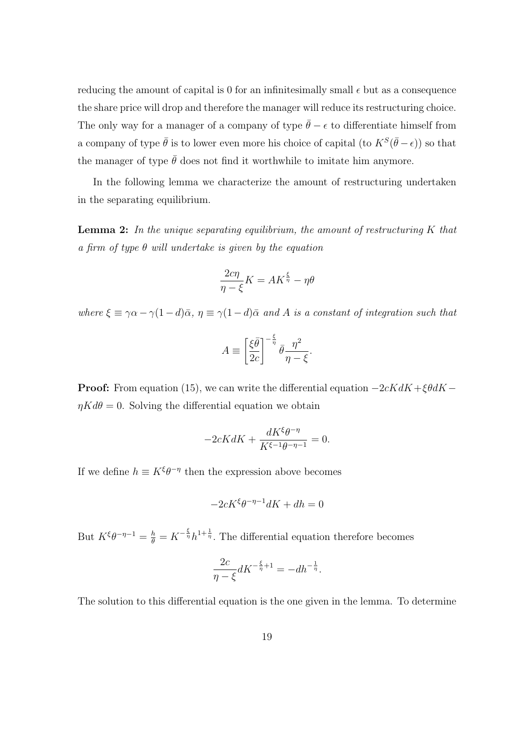reducing the amount of capital is 0 for an infinitesimally small  $\epsilon$  but as a consequence the share price will drop and therefore the manager will reduce its restructuring choice. The only way for a manager of a company of type  $\bar{\theta} - \epsilon$  to differentiate himself from a company of type  $\bar{\theta}$  is to lower even more his choice of capital (to  $K^S(\bar{\theta}-\epsilon)$ ) so that the manager of type  $\bar{\theta}$  does not find it worthwhile to imitate him anymore.

In the following lemma we characterize the amount of restructuring undertaken in the separating equilibrium.

**Lemma 2:** In the unique separating equilibrium, the amount of restructuring  $K$  that a firm of type  $\theta$  will undertake is given by the equation

$$
\frac{2c\eta}{\eta - \xi}K = AK^{\frac{\xi}{\eta}} - \eta\theta
$$

where  $\xi \equiv \gamma \alpha - \gamma (1-d)\bar{\alpha}$ ,  $\eta \equiv \gamma (1-d)\bar{\alpha}$  and A is a constant of integration such that

$$
A \equiv \left[\frac{\xi \bar{\theta}}{2c}\right]^{-\frac{\xi}{\eta}} \bar{\theta} \frac{\eta^2}{\eta - \xi}.
$$

**Proof:** From equation (15), we can write the differential equation  $-2cKdK + \xi\theta dK \eta K d\theta = 0$ . Solving the differential equation we obtain

$$
-2cKdK + \frac{dK^{\xi}\theta^{-\eta}}{K^{\xi-1}\theta^{-\eta-1}} = 0.
$$

If we define  $h \equiv K^{\xi} \theta^{-\eta}$  then the expression above becomes

$$
-2cK^{\xi}\theta^{-\eta-1}dK + dh = 0
$$

But  $K^{\xi}\theta^{-\eta-1} = \frac{h}{\theta} = K^{-\frac{\xi}{\eta}}h^{1+\frac{1}{\eta}}$ . The differential equation therefore becomes

$$
\frac{2c}{\eta - \xi} dK^{-\frac{\xi}{\eta} + 1} = -dh^{-\frac{1}{\eta}}.
$$

The solution to this differential equation is the one given in the lemma. To determine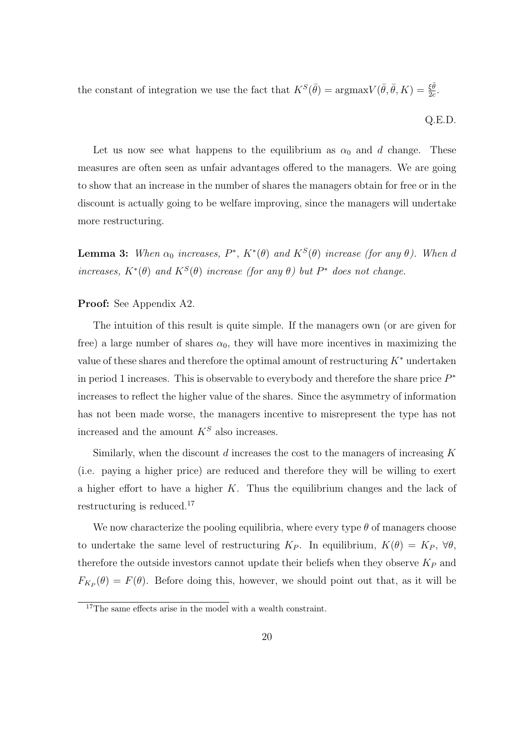the constant of integration we use the fact that  $K^S(\bar{\theta}) = \text{argmax} V(\bar{\theta}, \bar{\theta}, K) = \frac{\xi \bar{\theta}}{2c}$ .

$$
Q.E.D.
$$

Let us now see what happens to the equilibrium as  $\alpha_0$  and d change. These measures are often seen as unfair advantages offered to the managers. We are going to show that an increase in the number of shares the managers obtain for free or in the discount is actually going to be welfare improving, since the managers will undertake more restructuring.

**Lemma 3:** When  $\alpha_0$  increases,  $P^*$ ,  $K^*(\theta)$  and  $K^S(\theta)$  increase (for any  $\theta$ ). When d increases,  $K^*(\theta)$  and  $K^S(\theta)$  increase (for any  $\theta$ ) but  $P^*$  does not change.

### Proof: See Appendix A2.

The intuition of this result is quite simple. If the managers own (or are given for free) a large number of shares  $\alpha_0$ , they will have more incentives in maximizing the value of these shares and therefore the optimal amount of restructuring  $K^*$  undertaken in period 1 increases. This is observable to everybody and therefore the share price  $P^*$ increases to reflect the higher value of the shares. Since the asymmetry of information has not been made worse, the managers incentive to misrepresent the type has not increased and the amount  $K^S$  also increases.

Similarly, when the discount  $d$  increases the cost to the managers of increasing  $K$ (i.e. paying a higher price) are reduced and therefore they will be willing to exert a higher effort to have a higher  $K$ . Thus the equilibrium changes and the lack of restructuring is reduced.<sup>17</sup>

We now characterize the pooling equilibria, where every type  $\theta$  of managers choose to undertake the same level of restructuring  $K_P$ . In equilibrium,  $K(\theta) = K_P$ ,  $\forall \theta$ , therefore the outside investors cannot update their beliefs when they observe  $K_P$  and  $F_{K_P}(\theta) = F(\theta)$ . Before doing this, however, we should point out that, as it will be

<sup>&</sup>lt;sup>17</sup>The same effects arise in the model with a wealth constraint.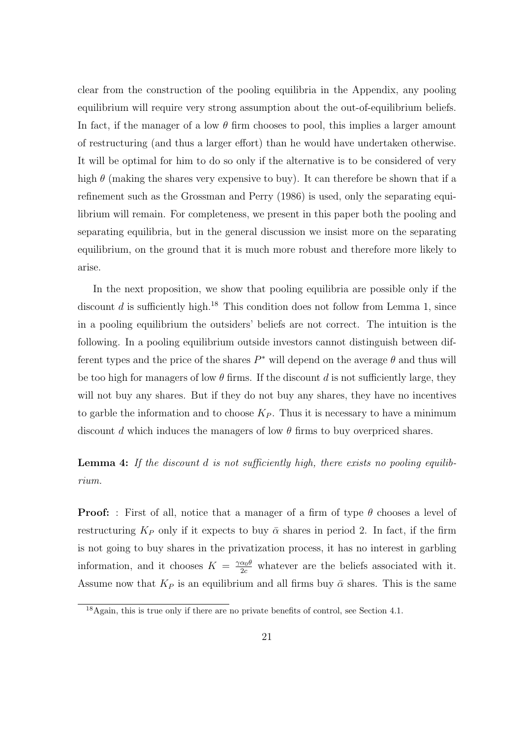clear from the construction of the pooling equilibria in the Appendix, any pooling equilibrium will require very strong assumption about the out-of-equilibrium beliefs. In fact, if the manager of a low  $\theta$  firm chooses to pool, this implies a larger amount of restructuring (and thus a larger effort) than he would have undertaken otherwise. It will be optimal for him to do so only if the alternative is to be considered of very high  $\theta$  (making the shares very expensive to buy). It can therefore be shown that if a refinement such as the Grossman and Perry (1986) is used, only the separating equilibrium will remain. For completeness, we present in this paper both the pooling and separating equilibria, but in the general discussion we insist more on the separating equilibrium, on the ground that it is much more robust and therefore more likely to arise.

In the next proposition, we show that pooling equilibria are possible only if the discount d is sufficiently high.<sup>18</sup> This condition does not follow from Lemma 1, since in a pooling equilibrium the outsiders' beliefs are not correct. The intuition is the following. In a pooling equilibrium outside investors cannot distinguish between different types and the price of the shares  $P^*$  will depend on the average  $\theta$  and thus will be too high for managers of low  $\theta$  firms. If the discount d is not sufficiently large, they will not buy any shares. But if they do not buy any shares, they have no incentives to garble the information and to choose  $K_P$ . Thus it is necessary to have a minimum discount d which induces the managers of low  $\theta$  firms to buy overpriced shares.

# Lemma 4: If the discount d is not sufficiently high, there exists no pooling equilibrium.

**Proof:** : First of all, notice that a manager of a firm of type  $\theta$  chooses a level of restructuring  $K_P$  only if it expects to buy  $\bar{\alpha}$  shares in period 2. In fact, if the firm is not going to buy shares in the privatization process, it has no interest in garbling information, and it chooses  $K = \frac{\gamma \alpha_0 \theta}{2c}$  whatever are the beliefs associated with it. Assume now that  $K_P$  is an equilibrium and all firms buy  $\bar{\alpha}$  shares. This is the same

<sup>18</sup>Again, this is true only if there are no private benefits of control, see Section 4.1.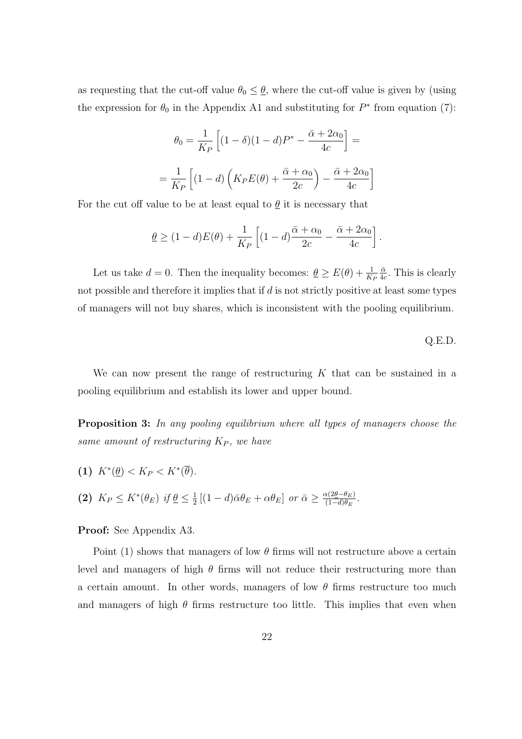as requesting that the cut-off value  $\theta_0 \leq \underline{\theta}$ , where the cut-off value is given by (using the expression for  $\theta_0$  in the Appendix A1 and substituting for  $P^*$  from equation (7):

$$
\theta_0 = \frac{1}{K_P} \left[ (1 - \delta)(1 - d)P^* - \frac{\bar{\alpha} + 2\alpha_0}{4c} \right] =
$$

$$
= \frac{1}{K_P} \left[ (1 - d) \left( K_P E(\theta) + \frac{\bar{\alpha} + \alpha_0}{2c} \right) - \frac{\bar{\alpha} + 2\alpha_0}{4c} \right]
$$

For the cut off value to be at least equal to  $\theta$  it is necessary that

$$
\underline{\theta} \ge (1-d)E(\theta) + \frac{1}{K_P} \left[ (1-d) \frac{\bar{\alpha} + \alpha_0}{2c} - \frac{\bar{\alpha} + 2\alpha_0}{4c} \right].
$$

Let us take  $d = 0$ . Then the inequality becomes:  $\underline{\theta} \ge E(\theta) + \frac{1}{K_F}$  $\bar{\alpha}$  $\frac{\bar{\alpha}}{4c}$ . This is clearly not possible and therefore it implies that if  $d$  is not strictly positive at least some types of managers will not buy shares, which is inconsistent with the pooling equilibrium.

#### Q.E.D.

We can now present the range of restructuring  $K$  that can be sustained in a pooling equilibrium and establish its lower and upper bound.

Proposition 3: In any pooling equilibrium where all types of managers choose the same amount of restructuring  $K_P$ , we have

(1)  $K^*(\underline{\theta}) < K_P < K^*(\overline{\theta}).$ (2)  $K_P \leq K^*(\theta_E)$  if  $\underline{\theta} \leq \frac{1}{2}$  $\frac{1}{2}\left[ (1-d)\bar{\alpha}\theta_E + \alpha\theta_E \right]$  or  $\bar{\alpha} \geq \frac{\alpha(2\underline{\theta}-\theta_E)}{(1-d)\theta_E}$  $\frac{\alpha(2\underline{\theta}-\theta_E)}{(1-d)\theta_E}.$ 

#### Proof: See Appendix A3.

Point (1) shows that managers of low  $\theta$  firms will not restructure above a certain level and managers of high  $\theta$  firms will not reduce their restructuring more than a certain amount. In other words, managers of low  $\theta$  firms restructure too much and managers of high  $\theta$  firms restructure too little. This implies that even when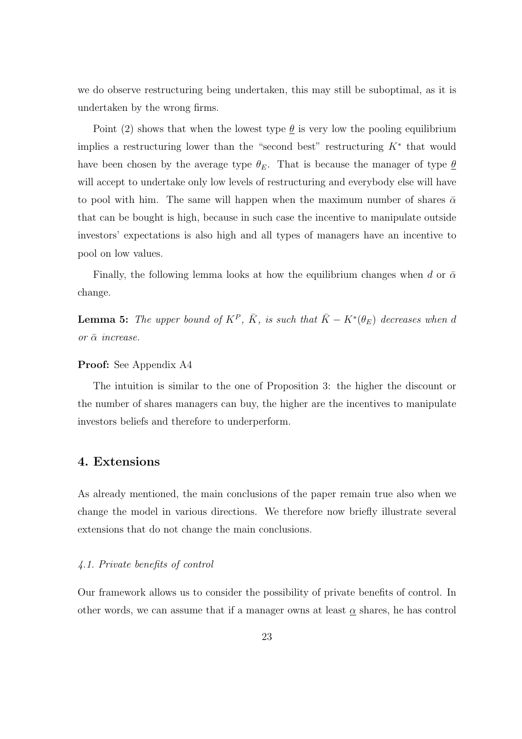we do observe restructuring being undertaken, this may still be suboptimal, as it is undertaken by the wrong firms.

Point (2) shows that when the lowest type  $\theta$  is very low the pooling equilibrium implies a restructuring lower than the "second best" restructuring  $K^*$  that would have been chosen by the average type  $\theta_E$ . That is because the manager of type  $\underline{\theta}$ will accept to undertake only low levels of restructuring and everybody else will have to pool with him. The same will happen when the maximum number of shares  $\bar{\alpha}$ that can be bought is high, because in such case the incentive to manipulate outside investors' expectations is also high and all types of managers have an incentive to pool on low values.

Finally, the following lemma looks at how the equilibrium changes when d or  $\bar{\alpha}$ change.

**Lemma 5:** The upper bound of  $K^P$ ,  $\overline{K}$ , is such that  $\overline{K} - K^*(\theta_E)$  decreases when d or  $\bar{\alpha}$  increase.

#### Proof: See Appendix A4

The intuition is similar to the one of Proposition 3: the higher the discount or the number of shares managers can buy, the higher are the incentives to manipulate investors beliefs and therefore to underperform.

### 4. Extensions

As already mentioned, the main conclusions of the paper remain true also when we change the model in various directions. We therefore now briefly illustrate several extensions that do not change the main conclusions.

### 4.1. Private benefits of control

Our framework allows us to consider the possibility of private benefits of control. In other words, we can assume that if a manager owns at least  $\alpha$  shares, he has control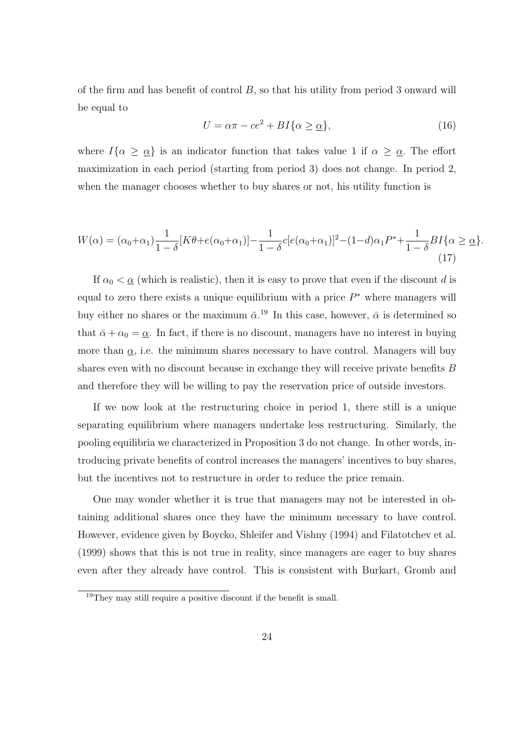of the firm and has benefit of control  $B$ , so that his utility from period 3 onward will be equal to

$$
U = \alpha \pi - ce^2 + BI\{\alpha \ge \underline{\alpha}\},\tag{16}
$$

where  $I\{\alpha \geq \alpha\}$  is an indicator function that takes value 1 if  $\alpha \geq \alpha$ . The effort maximization in each period (starting from period 3) does not change. In period 2, when the manager chooses whether to buy shares or not, his utility function is

$$
W(\alpha) = (\alpha_0 + \alpha_1) \frac{1}{1 - \delta} [K\theta + e(\alpha_0 + \alpha_1)] - \frac{1}{1 - \delta} c [e(\alpha_0 + \alpha_1)]^2 - (1 - d)\alpha_1 P^* + \frac{1}{1 - \delta} B I \{ \alpha \ge \alpha \}.
$$
\n(17)

If  $\alpha_0 < \underline{\alpha}$  (which is realistic), then it is easy to prove that even if the discount d is equal to zero there exists a unique equilibrium with a price  $P^*$  where managers will buy either no shares or the maximum  $\bar{\alpha}$ .<sup>19</sup> In this case, however,  $\bar{\alpha}$  is determined so that  $\bar{\alpha} + \alpha_0 = \underline{\alpha}$ . In fact, if there is no discount, managers have no interest in buying more than  $\alpha$ , i.e. the minimum shares necessary to have control. Managers will buy shares even with no discount because in exchange they will receive private benefits B and therefore they will be willing to pay the reservation price of outside investors.

If we now look at the restructuring choice in period 1, there still is a unique separating equilibrium where managers undertake less restructuring. Similarly, the pooling equilibria we characterized in Proposition 3 do not change. In other words, introducing private benefits of control increases the managers' incentives to buy shares, but the incentives not to restructure in order to reduce the price remain.

One may wonder whether it is true that managers may not be interested in obtaining additional shares once they have the minimum necessary to have control. However, evidence given by Boycko, Shleifer and Vishny (1994) and Filatotchev et al. (1999) shows that this is not true in reality, since managers are eager to buy shares even after they already have control. This is consistent with Burkart, Gromb and

<sup>19</sup>They may still require a positive discount if the benefit is small.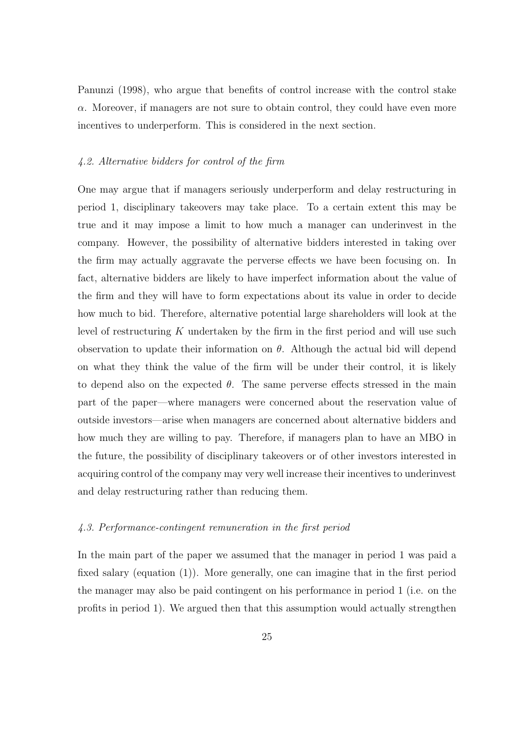Panunzi (1998), who argue that benefits of control increase with the control stake  $\alpha$ . Moreover, if managers are not sure to obtain control, they could have even more incentives to underperform. This is considered in the next section.

#### 4.2. Alternative bidders for control of the firm

One may argue that if managers seriously underperform and delay restructuring in period 1, disciplinary takeovers may take place. To a certain extent this may be true and it may impose a limit to how much a manager can underinvest in the company. However, the possibility of alternative bidders interested in taking over the firm may actually aggravate the perverse effects we have been focusing on. In fact, alternative bidders are likely to have imperfect information about the value of the firm and they will have to form expectations about its value in order to decide how much to bid. Therefore, alternative potential large shareholders will look at the level of restructuring  $K$  undertaken by the firm in the first period and will use such observation to update their information on  $\theta$ . Although the actual bid will depend on what they think the value of the firm will be under their control, it is likely to depend also on the expected  $\theta$ . The same perverse effects stressed in the main part of the paper—where managers were concerned about the reservation value of outside investors—arise when managers are concerned about alternative bidders and how much they are willing to pay. Therefore, if managers plan to have an MBO in the future, the possibility of disciplinary takeovers or of other investors interested in acquiring control of the company may very well increase their incentives to underinvest and delay restructuring rather than reducing them.

#### 4.3. Performance-contingent remuneration in the first period

In the main part of the paper we assumed that the manager in period 1 was paid a fixed salary (equation (1)). More generally, one can imagine that in the first period the manager may also be paid contingent on his performance in period 1 (i.e. on the profits in period 1). We argued then that this assumption would actually strengthen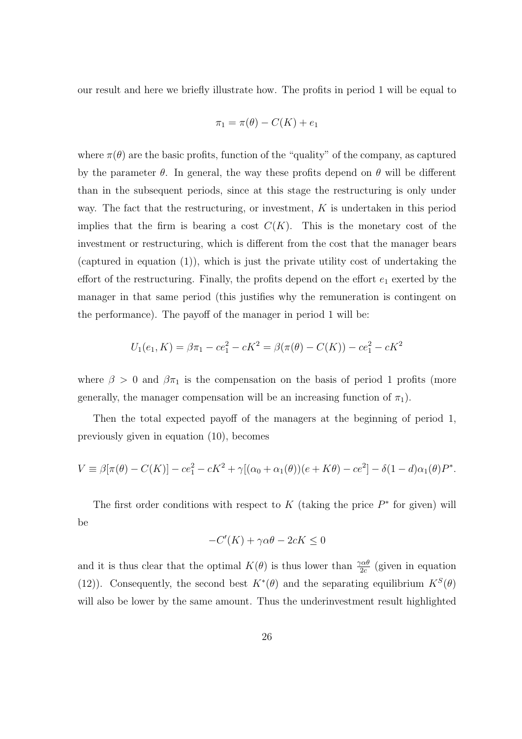our result and here we briefly illustrate how. The profits in period 1 will be equal to

$$
\pi_1 = \pi(\theta) - C(K) + e_1
$$

where  $\pi(\theta)$  are the basic profits, function of the "quality" of the company, as captured by the parameter  $\theta$ . In general, the way these profits depend on  $\theta$  will be different than in the subsequent periods, since at this stage the restructuring is only under way. The fact that the restructuring, or investment,  $K$  is undertaken in this period implies that the firm is bearing a cost  $C(K)$ . This is the monetary cost of the investment or restructuring, which is different from the cost that the manager bears (captured in equation (1)), which is just the private utility cost of undertaking the effort of the restructuring. Finally, the profits depend on the effort  $e_1$  exerted by the manager in that same period (this justifies why the remuneration is contingent on the performance). The payoff of the manager in period 1 will be:

$$
U_1(e_1, K) = \beta \pi_1 - ce_1^2 - cK^2 = \beta(\pi(\theta) - C(K)) - ce_1^2 - cK^2
$$

where  $\beta > 0$  and  $\beta \pi_1$  is the compensation on the basis of period 1 profits (more generally, the manager compensation will be an increasing function of  $\pi_1$ ).

Then the total expected payoff of the managers at the beginning of period 1, previously given in equation (10), becomes

$$
V \equiv \beta[\pi(\theta) - C(K)] - ce_1^2 - cK^2 + \gamma[(\alpha_0 + \alpha_1(\theta))(e + K\theta) - ce^2] - \delta(1 - d)\alpha_1(\theta)P^*.
$$

The first order conditions with respect to  $K$  (taking the price  $P^*$  for given) will be

$$
-C'(K) + \gamma \alpha \theta - 2cK \le 0
$$

and it is thus clear that the optimal  $K(\theta)$  is thus lower than  $\frac{\gamma \alpha \theta}{2c}$  (given in equation (12)). Consequently, the second best  $K^*(\theta)$  and the separating equilibrium  $K^S(\theta)$ will also be lower by the same amount. Thus the underinvestment result highlighted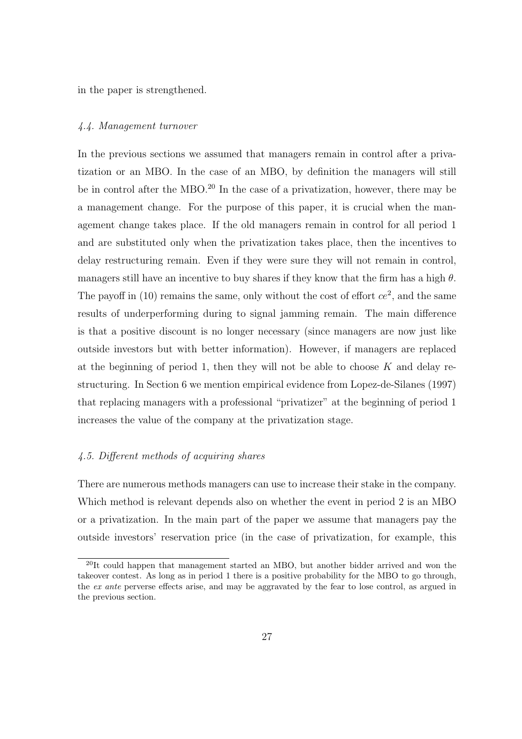in the paper is strengthened.

#### 4.4. Management turnover

In the previous sections we assumed that managers remain in control after a privatization or an MBO. In the case of an MBO, by definition the managers will still be in control after the MBO.<sup>20</sup> In the case of a privatization, however, there may be a management change. For the purpose of this paper, it is crucial when the management change takes place. If the old managers remain in control for all period 1 and are substituted only when the privatization takes place, then the incentives to delay restructuring remain. Even if they were sure they will not remain in control, managers still have an incentive to buy shares if they know that the firm has a high  $\theta$ . The payoff in  $(10)$  remains the same, only without the cost of effort  $ce^2$ , and the same results of underperforming during to signal jamming remain. The main difference is that a positive discount is no longer necessary (since managers are now just like outside investors but with better information). However, if managers are replaced at the beginning of period 1, then they will not be able to choose  $K$  and delay restructuring. In Section 6 we mention empirical evidence from Lopez-de-Silanes (1997) that replacing managers with a professional "privatizer" at the beginning of period 1 increases the value of the company at the privatization stage.

### 4.5. Different methods of acquiring shares

There are numerous methods managers can use to increase their stake in the company. Which method is relevant depends also on whether the event in period 2 is an MBO or a privatization. In the main part of the paper we assume that managers pay the outside investors' reservation price (in the case of privatization, for example, this

<sup>20</sup>It could happen that management started an MBO, but another bidder arrived and won the takeover contest. As long as in period 1 there is a positive probability for the MBO to go through, the ex ante perverse effects arise, and may be aggravated by the fear to lose control, as argued in the previous section.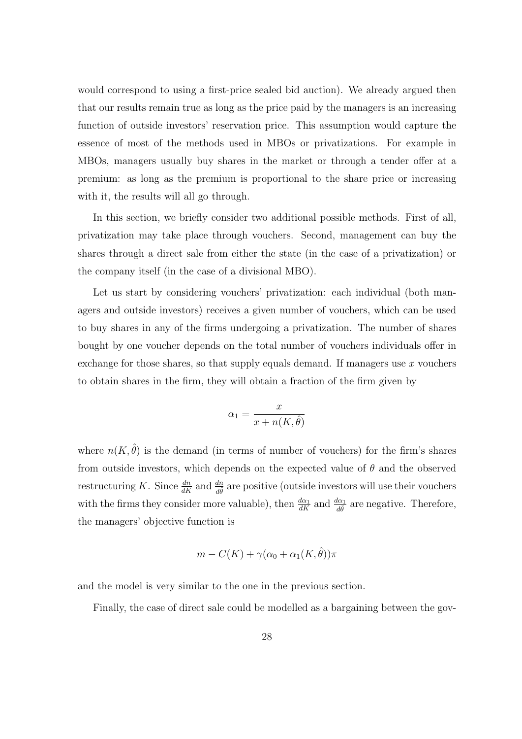would correspond to using a first-price sealed bid auction). We already argued then that our results remain true as long as the price paid by the managers is an increasing function of outside investors' reservation price. This assumption would capture the essence of most of the methods used in MBOs or privatizations. For example in MBOs, managers usually buy shares in the market or through a tender offer at a premium: as long as the premium is proportional to the share price or increasing with it, the results will all go through.

In this section, we briefly consider two additional possible methods. First of all, privatization may take place through vouchers. Second, management can buy the shares through a direct sale from either the state (in the case of a privatization) or the company itself (in the case of a divisional MBO).

Let us start by considering vouchers' privatization: each individual (both managers and outside investors) receives a given number of vouchers, which can be used to buy shares in any of the firms undergoing a privatization. The number of shares bought by one voucher depends on the total number of vouchers individuals offer in exchange for those shares, so that supply equals demand. If managers use  $x$  vouchers to obtain shares in the firm, they will obtain a fraction of the firm given by

$$
\alpha_1 = \frac{x}{x + n(K, \hat{\theta})}
$$

where  $n(K, \hat{\theta})$  is the demand (in terms of number of vouchers) for the firm's shares from outside investors, which depends on the expected value of  $\theta$  and the observed restructuring K. Since  $\frac{dn}{dK}$  and  $\frac{dn}{d\hat{\theta}}$  are positive (outside investors will use their vouchers with the firms they consider more valuable), then  $\frac{d\alpha_1}{dK}$  and  $\frac{d\alpha_1}{d\theta}$  are negative. Therefore, the managers' objective function is

$$
m - C(K) + \gamma(\alpha_0 + \alpha_1(K, \hat{\theta}))\pi
$$

and the model is very similar to the one in the previous section.

Finally, the case of direct sale could be modelled as a bargaining between the gov-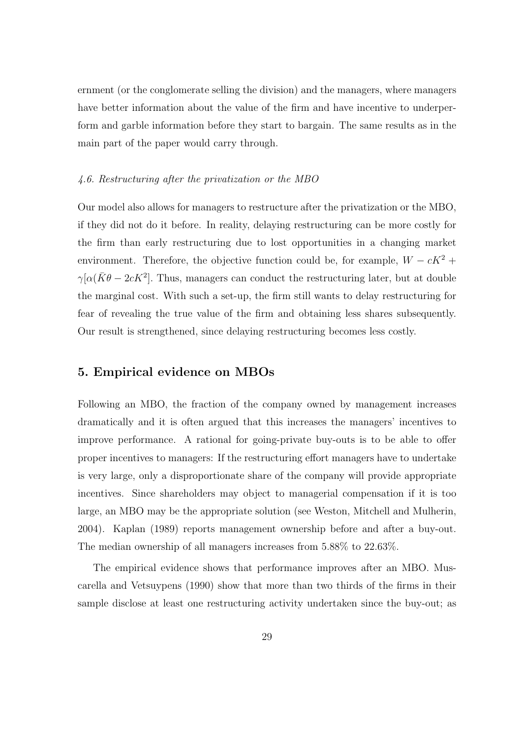ernment (or the conglomerate selling the division) and the managers, where managers have better information about the value of the firm and have incentive to underperform and garble information before they start to bargain. The same results as in the main part of the paper would carry through.

### 4.6. Restructuring after the privatization or the MBO

Our model also allows for managers to restructure after the privatization or the MBO, if they did not do it before. In reality, delaying restructuring can be more costly for the firm than early restructuring due to lost opportunities in a changing market environment. Therefore, the objective function could be, for example,  $W - cK^2$  +  $\gamma[\alpha(\bar{K}\theta - 2cK^2]$ . Thus, managers can conduct the restructuring later, but at double the marginal cost. With such a set-up, the firm still wants to delay restructuring for fear of revealing the true value of the firm and obtaining less shares subsequently. Our result is strengthened, since delaying restructuring becomes less costly.

### 5. Empirical evidence on MBOs

Following an MBO, the fraction of the company owned by management increases dramatically and it is often argued that this increases the managers' incentives to improve performance. A rational for going-private buy-outs is to be able to offer proper incentives to managers: If the restructuring effort managers have to undertake is very large, only a disproportionate share of the company will provide appropriate incentives. Since shareholders may object to managerial compensation if it is too large, an MBO may be the appropriate solution (see Weston, Mitchell and Mulherin, 2004). Kaplan (1989) reports management ownership before and after a buy-out. The median ownership of all managers increases from 5.88% to 22.63%.

The empirical evidence shows that performance improves after an MBO. Muscarella and Vetsuypens (1990) show that more than two thirds of the firms in their sample disclose at least one restructuring activity undertaken since the buy-out; as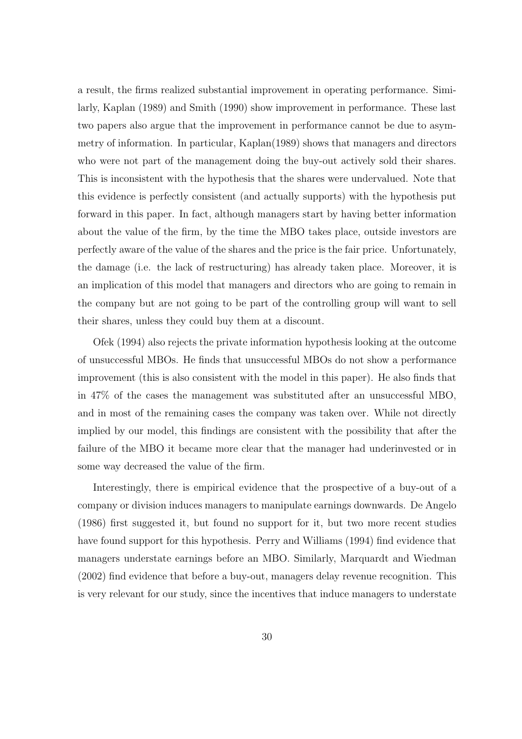a result, the firms realized substantial improvement in operating performance. Similarly, Kaplan (1989) and Smith (1990) show improvement in performance. These last two papers also argue that the improvement in performance cannot be due to asymmetry of information. In particular, Kaplan(1989) shows that managers and directors who were not part of the management doing the buy-out actively sold their shares. This is inconsistent with the hypothesis that the shares were undervalued. Note that this evidence is perfectly consistent (and actually supports) with the hypothesis put forward in this paper. In fact, although managers start by having better information about the value of the firm, by the time the MBO takes place, outside investors are perfectly aware of the value of the shares and the price is the fair price. Unfortunately, the damage (i.e. the lack of restructuring) has already taken place. Moreover, it is an implication of this model that managers and directors who are going to remain in the company but are not going to be part of the controlling group will want to sell their shares, unless they could buy them at a discount.

Ofek (1994) also rejects the private information hypothesis looking at the outcome of unsuccessful MBOs. He finds that unsuccessful MBOs do not show a performance improvement (this is also consistent with the model in this paper). He also finds that in 47% of the cases the management was substituted after an unsuccessful MBO, and in most of the remaining cases the company was taken over. While not directly implied by our model, this findings are consistent with the possibility that after the failure of the MBO it became more clear that the manager had underinvested or in some way decreased the value of the firm.

Interestingly, there is empirical evidence that the prospective of a buy-out of a company or division induces managers to manipulate earnings downwards. De Angelo (1986) first suggested it, but found no support for it, but two more recent studies have found support for this hypothesis. Perry and Williams (1994) find evidence that managers understate earnings before an MBO. Similarly, Marquardt and Wiedman (2002) find evidence that before a buy-out, managers delay revenue recognition. This is very relevant for our study, since the incentives that induce managers to understate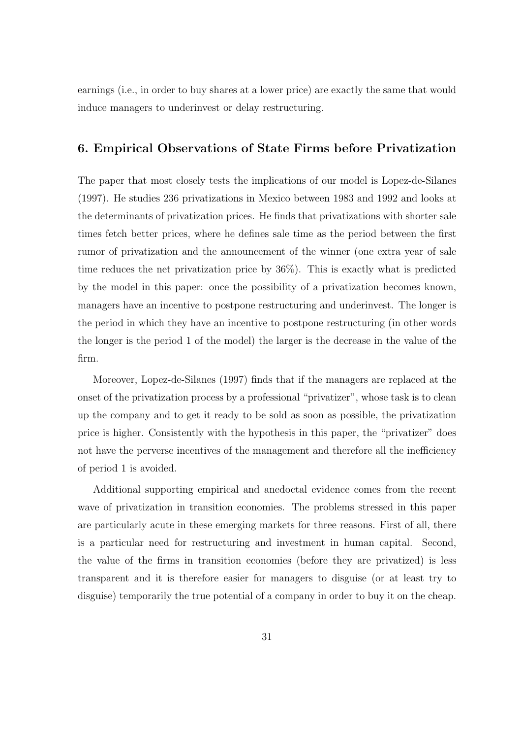earnings (i.e., in order to buy shares at a lower price) are exactly the same that would induce managers to underinvest or delay restructuring.

# 6. Empirical Observations of State Firms before Privatization

The paper that most closely tests the implications of our model is Lopez-de-Silanes (1997). He studies 236 privatizations in Mexico between 1983 and 1992 and looks at the determinants of privatization prices. He finds that privatizations with shorter sale times fetch better prices, where he defines sale time as the period between the first rumor of privatization and the announcement of the winner (one extra year of sale time reduces the net privatization price by 36%). This is exactly what is predicted by the model in this paper: once the possibility of a privatization becomes known, managers have an incentive to postpone restructuring and underinvest. The longer is the period in which they have an incentive to postpone restructuring (in other words the longer is the period 1 of the model) the larger is the decrease in the value of the firm.

Moreover, Lopez-de-Silanes (1997) finds that if the managers are replaced at the onset of the privatization process by a professional "privatizer", whose task is to clean up the company and to get it ready to be sold as soon as possible, the privatization price is higher. Consistently with the hypothesis in this paper, the "privatizer" does not have the perverse incentives of the management and therefore all the inefficiency of period 1 is avoided.

Additional supporting empirical and anedoctal evidence comes from the recent wave of privatization in transition economies. The problems stressed in this paper are particularly acute in these emerging markets for three reasons. First of all, there is a particular need for restructuring and investment in human capital. Second, the value of the firms in transition economies (before they are privatized) is less transparent and it is therefore easier for managers to disguise (or at least try to disguise) temporarily the true potential of a company in order to buy it on the cheap.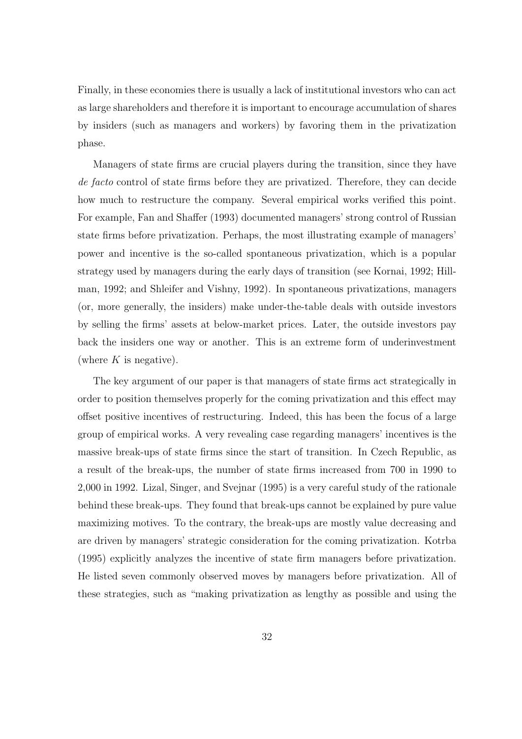Finally, in these economies there is usually a lack of institutional investors who can act as large shareholders and therefore it is important to encourage accumulation of shares by insiders (such as managers and workers) by favoring them in the privatization phase.

Managers of state firms are crucial players during the transition, since they have de facto control of state firms before they are privatized. Therefore, they can decide how much to restructure the company. Several empirical works verified this point. For example, Fan and Shaffer (1993) documented managers' strong control of Russian state firms before privatization. Perhaps, the most illustrating example of managers' power and incentive is the so-called spontaneous privatization, which is a popular strategy used by managers during the early days of transition (see Kornai, 1992; Hillman, 1992; and Shleifer and Vishny, 1992). In spontaneous privatizations, managers (or, more generally, the insiders) make under-the-table deals with outside investors by selling the firms' assets at below-market prices. Later, the outside investors pay back the insiders one way or another. This is an extreme form of underinvestment (where  $K$  is negative).

The key argument of our paper is that managers of state firms act strategically in order to position themselves properly for the coming privatization and this effect may offset positive incentives of restructuring. Indeed, this has been the focus of a large group of empirical works. A very revealing case regarding managers' incentives is the massive break-ups of state firms since the start of transition. In Czech Republic, as a result of the break-ups, the number of state firms increased from 700 in 1990 to 2,000 in 1992. Lizal, Singer, and Svejnar (1995) is a very careful study of the rationale behind these break-ups. They found that break-ups cannot be explained by pure value maximizing motives. To the contrary, the break-ups are mostly value decreasing and are driven by managers' strategic consideration for the coming privatization. Kotrba (1995) explicitly analyzes the incentive of state firm managers before privatization. He listed seven commonly observed moves by managers before privatization. All of these strategies, such as "making privatization as lengthy as possible and using the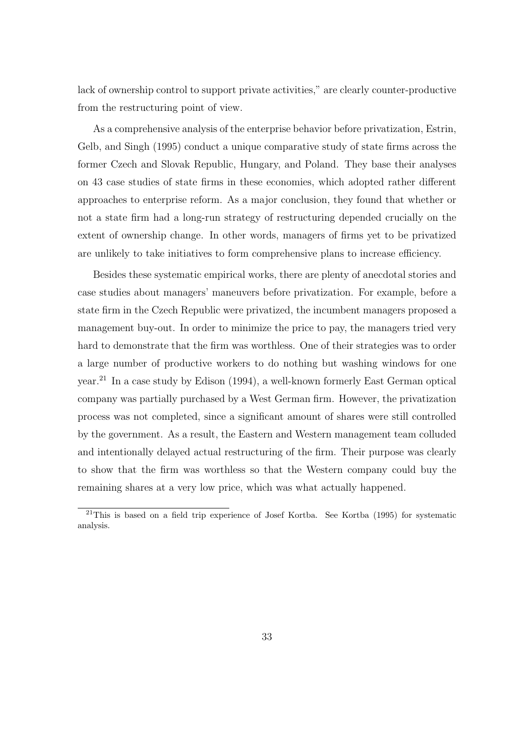lack of ownership control to support private activities," are clearly counter-productive from the restructuring point of view.

As a comprehensive analysis of the enterprise behavior before privatization, Estrin, Gelb, and Singh (1995) conduct a unique comparative study of state firms across the former Czech and Slovak Republic, Hungary, and Poland. They base their analyses on 43 case studies of state firms in these economies, which adopted rather different approaches to enterprise reform. As a major conclusion, they found that whether or not a state firm had a long-run strategy of restructuring depended crucially on the extent of ownership change. In other words, managers of firms yet to be privatized are unlikely to take initiatives to form comprehensive plans to increase efficiency.

Besides these systematic empirical works, there are plenty of anecdotal stories and case studies about managers' maneuvers before privatization. For example, before a state firm in the Czech Republic were privatized, the incumbent managers proposed a management buy-out. In order to minimize the price to pay, the managers tried very hard to demonstrate that the firm was worthless. One of their strategies was to order a large number of productive workers to do nothing but washing windows for one year.<sup>21</sup> In a case study by Edison (1994), a well-known formerly East German optical company was partially purchased by a West German firm. However, the privatization process was not completed, since a significant amount of shares were still controlled by the government. As a result, the Eastern and Western management team colluded and intentionally delayed actual restructuring of the firm. Their purpose was clearly to show that the firm was worthless so that the Western company could buy the remaining shares at a very low price, which was what actually happened.

<sup>&</sup>lt;sup>21</sup>This is based on a field trip experience of Josef Kortba. See Kortba (1995) for systematic analysis.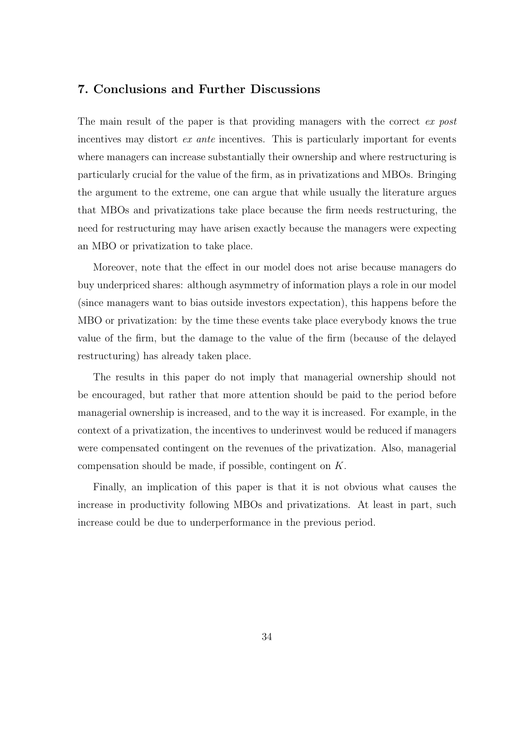## 7. Conclusions and Further Discussions

The main result of the paper is that providing managers with the correct ex post incentives may distort ex ante incentives. This is particularly important for events where managers can increase substantially their ownership and where restructuring is particularly crucial for the value of the firm, as in privatizations and MBOs. Bringing the argument to the extreme, one can argue that while usually the literature argues that MBOs and privatizations take place because the firm needs restructuring, the need for restructuring may have arisen exactly because the managers were expecting an MBO or privatization to take place.

Moreover, note that the effect in our model does not arise because managers do buy underpriced shares: although asymmetry of information plays a role in our model (since managers want to bias outside investors expectation), this happens before the MBO or privatization: by the time these events take place everybody knows the true value of the firm, but the damage to the value of the firm (because of the delayed restructuring) has already taken place.

The results in this paper do not imply that managerial ownership should not be encouraged, but rather that more attention should be paid to the period before managerial ownership is increased, and to the way it is increased. For example, in the context of a privatization, the incentives to underinvest would be reduced if managers were compensated contingent on the revenues of the privatization. Also, managerial compensation should be made, if possible, contingent on K.

Finally, an implication of this paper is that it is not obvious what causes the increase in productivity following MBOs and privatizations. At least in part, such increase could be due to underperformance in the previous period.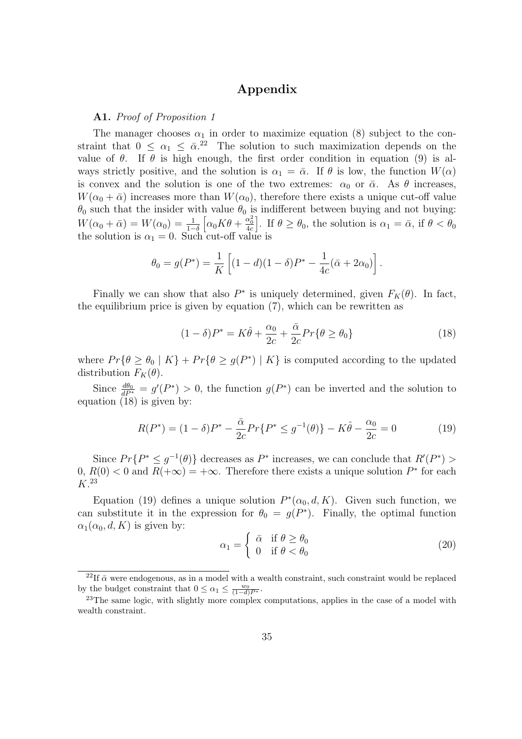# Appendix

#### A1. Proof of Proposition 1

The manager chooses  $\alpha_1$  in order to maximize equation (8) subject to the constraint that  $0 \leq \alpha_1 \leq \bar{\alpha}^{22}$  The solution to such maximization depends on the value of  $\theta$ . If  $\theta$  is high enough, the first order condition in equation (9) is always strictly positive, and the solution is  $\alpha_1 = \bar{\alpha}$ . If  $\theta$  is low, the function  $W(\alpha)$ is convex and the solution is one of the two extremes:  $\alpha_0$  or  $\bar{\alpha}$ . As  $\theta$  increases,  $W(\alpha_0 + \bar{\alpha})$  increases more than  $W(\alpha_0)$ , therefore there exists a unique cut-off value  $\theta_0$  such that the insider with value  $\theta_0$  is indifferent between buying and not buying:  $W(\alpha_0 + \bar{\alpha}) = W(\alpha_0) = \frac{1}{1-\delta}$  $\Big[\alpha_0 K \theta + \frac{\alpha_0^2}{4c}$ . If  $\theta \ge \theta_0$ , the solution is  $\alpha_1 = \bar{\alpha}$ , if  $\theta < \theta_0$ the solution is  $\alpha_1 = 0$ . Such cut-off value is

$$
\theta_0 = g(P^*) = \frac{1}{K} \left[ (1 - d)(1 - \delta)P^* - \frac{1}{4c} (\bar{\alpha} + 2\alpha_0) \right].
$$

Finally we can show that also  $P^*$  is uniquely determined, given  $F_K(\theta)$ . In fact, the equilibrium price is given by equation (7), which can be rewritten as

$$
(1 - \delta)P^* = K\hat{\theta} + \frac{\alpha_0}{2c} + \frac{\bar{\alpha}}{2c}Pr\{\theta \ge \theta_0\}
$$
\n(18)

where  $Pr{\theta \geq \theta_0 | K} + Pr{\theta \geq g(P^*) | K}$  is computed according to the updated distribution  $F_K(\theta)$ .

Since  $\frac{d\theta_0}{dP^*} = g'(P^*) > 0$ , the function  $g(P^*)$  can be inverted and the solution to equation (18) is given by:

$$
R(P^*) = (1 - \delta)P^* - \frac{\bar{\alpha}}{2c}Pr\{P^* \le g^{-1}(\theta)\} - K\hat{\theta} - \frac{\alpha_0}{2c} = 0
$$
 (19)

Since  $Pr\{P^* \leq g^{-1}(\theta)\}\$  decreases as  $P^*$  increases, we can conclude that  $R'(P^*)$  $0, R(0) < 0$  and  $R(+\infty) = +\infty$ . Therefore there exists a unique solution  $P^*$  for each K. 23

Equation (19) defines a unique solution  $P^*(\alpha_0, d, K)$ . Given such function, we can substitute it in the expression for  $\theta_0 = g(P^*)$ . Finally, the optimal function  $\alpha_1(\alpha_0, d, K)$  is given by:

$$
\alpha_1 = \begin{cases} \bar{\alpha} & \text{if } \theta \ge \theta_0 \\ 0 & \text{if } \theta < \theta_0 \end{cases}
$$
 (20)

<sup>&</sup>lt;sup>22</sup>If  $\bar{\alpha}$  were endogenous, as in a model with a wealth constraint, such constraint would be replaced by the budget constraint that  $0 \leq \alpha_1 \leq \frac{w_0}{(1-d)P^*}.$ 

 $^{23}$ The same logic, with slightly more complex computations, applies in the case of a model with wealth constraint.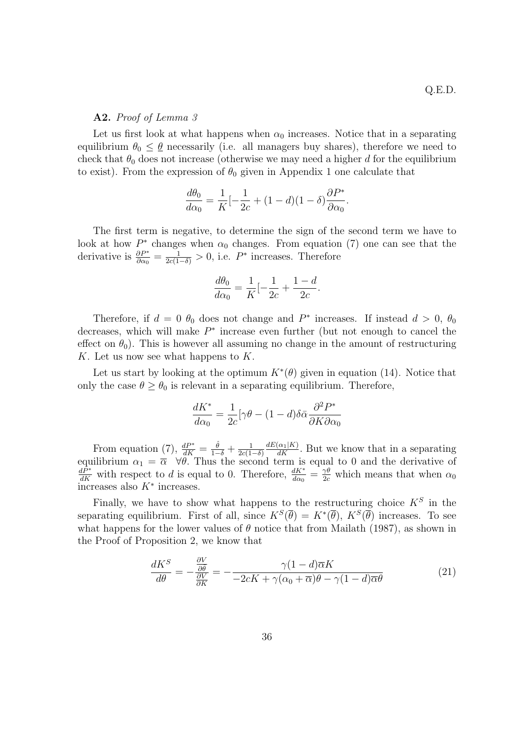#### A2. Proof of Lemma 3

Let us first look at what happens when  $\alpha_0$  increases. Notice that in a separating equilibrium  $\theta_0 \leq \underline{\theta}$  necessarily (i.e. all managers buy shares), therefore we need to check that  $\theta_0$  does not increase (otherwise we may need a higher d for the equilibrium to exist). From the expression of  $\theta_0$  given in Appendix 1 one calculate that

$$
\frac{d\theta_0}{d\alpha_0} = \frac{1}{K} \left[-\frac{1}{2c} + (1-d)(1-\delta)\frac{\partial P^*}{\partial \alpha_0}\right].
$$

The first term is negative, to determine the sign of the second term we have to look at how  $P^*$  changes when  $\alpha_0$  changes. From equation (7) one can see that the derivative is  $\frac{\partial P^*}{\partial \alpha_0} = \frac{1}{2c(1-\delta)} > 0$ , i.e.  $P^*$  increases. Therefore

$$
\frac{d\theta_0}{d\alpha_0} = \frac{1}{K} \left[ -\frac{1}{2c} + \frac{1-d}{2c} \right].
$$

Therefore, if  $d = 0$   $\theta_0$  does not change and  $P^*$  increases. If instead  $d > 0$ ,  $\theta_0$ decreases, which will make  $P^*$  increase even further (but not enough to cancel the effect on  $\theta_0$ ). This is however all assuming no change in the amount of restructuring K. Let us now see what happens to  $K$ .

Let us start by looking at the optimum  $K^*(\theta)$  given in equation (14). Notice that only the case  $\theta \ge \theta_0$  is relevant in a separating equilibrium. Therefore,

$$
\frac{dK^*}{d\alpha_0} = \frac{1}{2c} [\gamma \theta - (1 - d)\delta \bar{\alpha} \frac{\partial^2 P^*}{\partial K \partial \alpha_0}
$$

From equation (7),  $\frac{dP^*}{dK} = \frac{\hat{\theta}}{1-\delta} + \frac{1}{2c(1-\delta)}$  $2c(1-\delta)$  $\frac{dE(\alpha_1|K)}{dK}$ . But we know that in a separating equilibrium  $\alpha_1 = \overline{\alpha} \quad \forall \theta$ . Thus the second term is equal to 0 and the derivative of  $\frac{dP^*}{dK}$  with respect to d is equal to 0. Therefore,  $\frac{dK^*}{d\alpha_0} = \frac{\gamma \theta}{2c}$  which means that when  $\alpha_0$  $\overline{\text{increases}}$  also  $K^*$  increases.

Finally, we have to show what happens to the restructuring choice  $K^S$  in the separating equilibrium. First of all, since  $K^S(\overline{\theta}) = K^*(\overline{\theta})$ ,  $K^S(\overline{\theta})$  increases. To see what happens for the lower values of  $\theta$  notice that from Mailath (1987), as shown in the Proof of Proposition 2, we know that

$$
\frac{dK^S}{d\theta} = -\frac{\frac{\partial V}{\partial \theta}}{\frac{\partial V}{\partial K}} = -\frac{\gamma(1-d)\overline{\alpha}K}{-2cK + \gamma(\alpha_0 + \overline{\alpha})\theta - \gamma(1-d)\overline{\alpha}\theta} \tag{21}
$$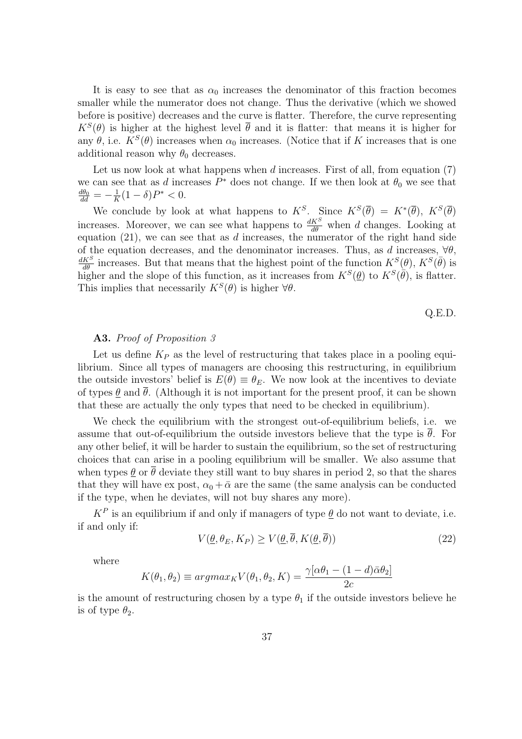It is easy to see that as  $\alpha_0$  increases the denominator of this fraction becomes smaller while the numerator does not change. Thus the derivative (which we showed before is positive) decreases and the curve is flatter. Therefore, the curve representing  $K^{S}(\theta)$  is higher at the highest level  $\bar{\theta}$  and it is flatter: that means it is higher for any  $\theta$ , i.e.  $K^{S}(\theta)$  increases when  $\alpha_0$  increases. (Notice that if K increases that is one additional reason why  $\theta_0$  decreases.

Let us now look at what happens when  $d$  increases. First of all, from equation  $(7)$ we can see that as d increases  $P^*$  does not change. If we then look at  $\theta_0$  we see that  $\frac{d\theta_0}{dd}=-\frac{1}{K}$  $\frac{1}{K}(1-\delta)P^* < 0.$ 

We conclude by look at what happens to  $K^S$ . Since  $K^S(\overline{\theta}) = K^*(\overline{\theta})$ ,  $K^S(\overline{\theta})$ increases. Moreover, we can see what happens to  $\frac{dK^S}{d\theta}$  when d changes. Looking at equation  $(21)$ , we can see that as d increases, the numerator of the right hand side of the equation decreases, and the denominator increases. Thus, as d increases,  $\forall \theta$ ,  $\frac{dK^S}{d\theta}$  increases. But that means that the highest point of the function  $K^S(\theta)$ ,  $K^S(\bar{\theta})$  is higher and the slope of this function, as it increases from  $K^S(\underline{\theta})$  to  $K^S(\overline{\theta})$ , is flatter. This implies that necessarily  $K^S(\theta)$  is higher  $\forall \theta$ .

$$
Q.E.D.
$$

#### A3. Proof of Proposition 3

Let us define  $K_P$  as the level of restructuring that takes place in a pooling equilibrium. Since all types of managers are choosing this restructuring, in equilibrium the outside investors' belief is  $E(\theta) \equiv \theta_E$ . We now look at the incentives to deviate of types  $\theta$  and  $\bar{\theta}$ . (Although it is not important for the present proof, it can be shown that these are actually the only types that need to be checked in equilibrium).

We check the equilibrium with the strongest out-of-equilibrium beliefs, i.e. we assume that out-of-equilibrium the outside investors believe that the type is  $\theta$ . For any other belief, it will be harder to sustain the equilibrium, so the set of restructuring choices that can arise in a pooling equilibrium will be smaller. We also assume that when types  $\underline{\theta}$  or  $\overline{\theta}$  deviate they still want to buy shares in period 2, so that the shares that they will have ex post,  $\alpha_0 + \bar{\alpha}$  are the same (the same analysis can be conducted if the type, when he deviates, will not buy shares any more).

 $K^P$  is an equilibrium if and only if managers of type  $\underline{\theta}$  do not want to deviate, i.e. if and only if:

$$
V(\underline{\theta}, \theta_E, K_P) \ge V(\underline{\theta}, \theta, K(\underline{\theta}, \theta))
$$
\n<sup>(22)</sup>

where

$$
K(\theta_1, \theta_2) \equiv \operatorname{argmax}_{K} V(\theta_1, \theta_2, K) = \frac{\gamma[\alpha \theta_1 - (1 - d)\bar{\alpha} \theta_2]}{2c}
$$

is the amount of restructuring chosen by a type  $\theta_1$  if the outside investors believe he is of type  $\theta_2$ .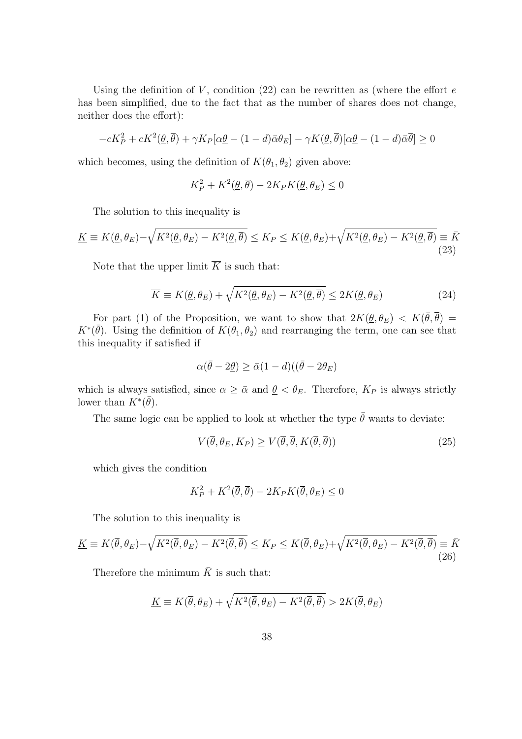Using the definition of V, condition (22) can be rewritten as (where the effort  $e$ has been simplified, due to the fact that as the number of shares does not change, neither does the effort):

$$
-cK_P^2 + cK^2(\underline{\theta}, \overline{\theta}) + \gamma K_P[\alpha \underline{\theta} - (1 - d)\overline{\alpha} \theta_E] - \gamma K(\underline{\theta}, \overline{\theta})[\alpha \underline{\theta} - (1 - d)\overline{\alpha} \overline{\theta}] \ge 0
$$

which becomes, using the definition of  $K(\theta_1, \theta_2)$  given above:

$$
K_P^2 + K^2(\underline{\theta}, \overline{\theta}) - 2K_P K(\underline{\theta}, \theta_E) \le 0
$$

The solution to this inequality is

$$
\underline{K} \equiv K(\underline{\theta}, \theta_E) - \sqrt{K^2(\underline{\theta}, \theta_E) - K^2(\underline{\theta}, \overline{\theta})} \le K_P \le K(\underline{\theta}, \theta_E) + \sqrt{K^2(\underline{\theta}, \theta_E) - K^2(\underline{\theta}, \overline{\theta})} \equiv \overline{K}
$$
\n(23)

Note that the upper limit  $\overline{K}$  is such that:

$$
\overline{K} \equiv K(\underline{\theta}, \theta_E) + \sqrt{K^2(\underline{\theta}, \theta_E) - K^2(\underline{\theta}, \overline{\theta})} \le 2K(\underline{\theta}, \theta_E)
$$
\n(24)

For part (1) of the Proposition, we want to show that  $2K(\underline{\theta}, \theta_E) < K(\overline{\theta}, \overline{\theta}) =$  $K^*(\bar{\theta})$ . Using the definition of  $K(\theta_1, \theta_2)$  and rearranging the term, one can see that this inequality if satisfied if

$$
\alpha(\bar{\theta} - 2\underline{\theta}) \ge \bar{\alpha}(1 - d)((\bar{\theta} - 2\theta_E))
$$

which is always satisfied, since  $\alpha \geq \bar{\alpha}$  and  $\underline{\theta} < \theta_E$ . Therefore,  $K_P$  is always strictly lower than  $K^*(\bar{\theta})$ .

The same logic can be applied to look at whether the type  $\bar{\theta}$  wants to deviate:

$$
V(\overline{\theta}, \theta_E, K_P) \ge V(\overline{\theta}, \overline{\theta}, K(\overline{\theta}, \overline{\theta}))
$$
\n(25)

which gives the condition

$$
K_P^2 + K^2(\overline{\theta}, \overline{\theta}) - 2K_PK(\overline{\theta}, \theta_E) \le 0
$$

The solution to this inequality is

$$
\underline{K} \equiv K(\overline{\theta}, \theta_E) - \sqrt{K^2(\overline{\theta}, \theta_E) - K^2(\overline{\theta}, \overline{\theta})} \le K_P \le K(\overline{\theta}, \theta_E) + \sqrt{K^2(\overline{\theta}, \theta_E) - K^2(\overline{\theta}, \overline{\theta})} \equiv \overline{K}
$$
\n(26)

Therefore the minimum  $\bar{K}$  is such that:

$$
\underline{K} \equiv K(\overline{\theta}, \theta_E) + \sqrt{K^2(\overline{\theta}, \theta_E) - K^2(\overline{\theta}, \overline{\theta})} > 2K(\overline{\theta}, \theta_E)
$$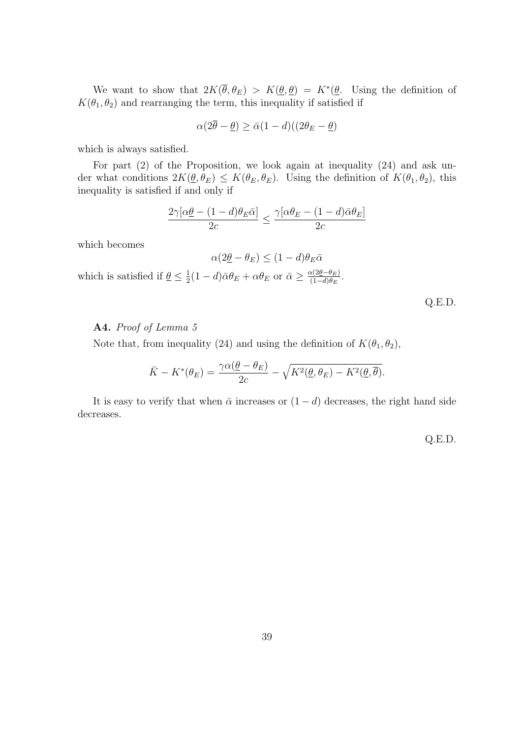We want to show that  $2K(\bar{\theta},\theta_E) > K(\underline{\theta},\underline{\theta}) = K^*(\underline{\theta})$ . Using the definition of  $K(\theta_1,\theta_2)$  and rearranging the term, this inequality if satisfied if

$$
\alpha(2\overline{\theta}-\underline{\theta}) \ge \overline{\alpha}(1-d)((2\theta_E - \underline{\theta})
$$

which is always satisfied.

For part (2) of the Proposition, we look again at inequality (24) and ask under what conditions  $2K(\underline{\theta}, \theta_E) \leq K(\theta_E, \theta_E)$ . Using the definition of  $K(\theta_1, \theta_2)$ , this inequality is satisfied if and only if

$$
\frac{2\gamma[\alpha\underline{\theta}-(1-d)\theta_E\bar{\alpha}]}{2c}\leq\frac{\gamma[\alpha\theta_E-(1-d)\bar{\alpha}\theta_E]}{2c}
$$

which becomes

$$
\alpha(2\underline{\theta} - \theta_E) \le (1 - d)\theta_E \bar{\alpha}
$$

which is satisfied if  $\theta \leq \frac{1}{2}$  $\frac{1}{2}(1-d)\bar{\alpha}\theta_E + \alpha\theta_E$  or  $\bar{\alpha} \geq \frac{\alpha(2\underline{\theta}-\theta_E)}{(1-d)\theta_E}$  $\frac{\chi(2\underline{\theta}-\theta_E)}{(1-d)\theta_E}.$ 

Q.E.D.

#### A4. Proof of Lemma 5

Note that, from inequality (24) and using the definition of  $K(\theta_1, \theta_2)$ ,

$$
\bar{K} - K^*(\theta_E) = \frac{\gamma \alpha(\underline{\theta} - \theta_E)}{2c} - \sqrt{K^2(\underline{\theta}, \theta_E) - K^2(\underline{\theta}, \overline{\theta})}.
$$

It is easy to verify that when  $\bar{\alpha}$  increases or  $(1 - d)$  decreases, the right hand side decreases.

Q.E.D.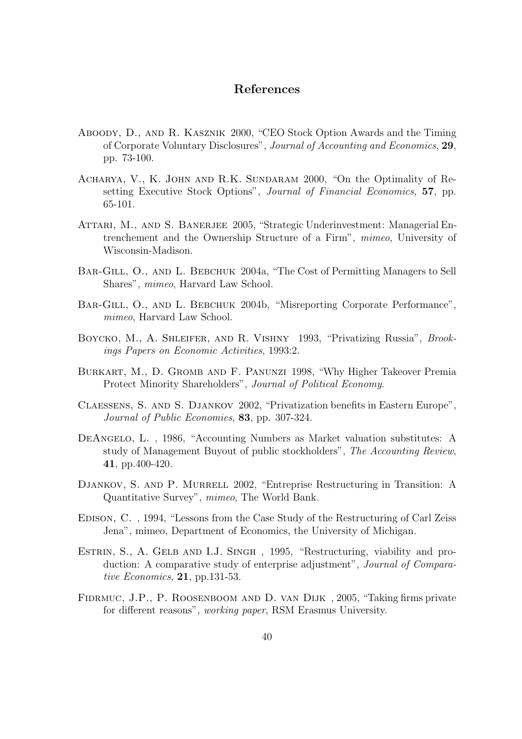# References

- Aboody, D., and R. Kasznik 2000, "CEO Stock Option Awards and the Timing of Corporate Voluntary Disclosures", Journal of Accounting and Economics, 29, pp. 73-100.
- Acharya, V., K. John and R.K. Sundaram 2000, "On the Optimality of Resetting Executive Stock Options", Journal of Financial Economics, 57, pp. 65-101.
- ATTARI, M., AND S. BANERJEE 2005, "Strategic Underinvestment: Managerial Entrenchement and the Ownership Structure of a Firm", mimeo, University of Wisconsin-Madison.
- BAR-GILL, O., AND L. BEBCHUK 2004a, "The Cost of Permitting Managers to Sell Shares", mimeo, Harvard Law School.
- BAR-GILL, O., AND L. BEBCHUK 2004b, "Misreporting Corporate Performance", mimeo, Harvard Law School.
- BOYCKO, M., A. SHLEIFER, AND R. VISHNY 1993, "Privatizing Russia", Brookings Papers on Economic Activities, 1993:2.
- Burkart, M., D. Gromb and F. Panunzi 1998, "Why Higher Takeover Premia Protect Minority Shareholders", Journal of Political Economy.
- Claessens, S. and S. Djankov 2002, "Privatization benefits in Eastern Europe", Journal of Public Economics, 83, pp. 307-324.
- DEANGELO, L., 1986, "Accounting Numbers as Market valuation substitutes: A study of Management Buyout of public stockholders", The Accounting Review, 41, pp.400-420.
- DJANKOV, S. AND P. MURRELL 2002, "Entreprise Restructuring in Transition: A Quantitative Survey", mimeo, The World Bank.
- Edison, C. , 1994, "Lessons from the Case Study of the Restructuring of Carl Zeiss Jena", mimeo, Department of Economics, the University of Michigan.
- ESTRIN, S., A. GELB AND I.J. SINGH, 1995, "Restructuring, viability and production: A comparative study of enterprise adjustment", Journal of Comparative Economics, 21, pp.131-53.
- Fidrmuc, J.P., P. Roosenboom and D. van Dijk , 2005, "Taking firms private for different reasons", working paper, RSM Erasmus University.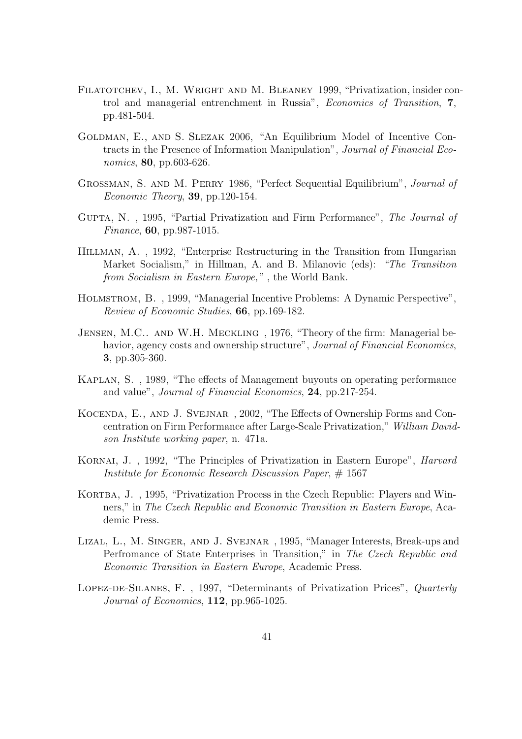- FILATOTCHEV, I., M. WRIGHT AND M. BLEANEY 1999, "Privatization, insider control and managerial entrenchment in Russia", Economics of Transition, 7, pp.481-504.
- Goldman, E., and S. Slezak 2006, "An Equilibrium Model of Incentive Contracts in the Presence of Information Manipulation", Journal of Financial Economics, **80**, pp.603-626.
- Grossman, S. and M. Perry 1986, "Perfect Sequential Equilibrium", Journal of  $Economic Theory, 39, pp.120-154.$
- Gupta, N. , 1995, "Partial Privatization and Firm Performance", The Journal of Finance, 60, pp.987-1015.
- Hillman, A. , 1992, "Enterprise Restructuring in the Transition from Hungarian Market Socialism," in Hillman, A. and B. Milanovic (eds): "The Transition from Socialism in Eastern Europe," , the World Bank.
- Holmstrom, B. , 1999, "Managerial Incentive Problems: A Dynamic Perspective", Review of Economic Studies, 66, pp.169-182.
- JENSEN, M.C.. AND W.H. MECKLING, 1976, "Theory of the firm: Managerial behavior, agency costs and ownership structure", *Journal of Financial Economics*, 3, pp.305-360.
- Kaplan, S. , 1989, "The effects of Management buyouts on operating performance and value", Journal of Financial Economics, 24, pp.217-254.
- Kocenda, E., and J. Svejnar , 2002, "The Effects of Ownership Forms and Concentration on Firm Performance after Large-Scale Privatization," William Davidson Institute working paper, n. 471a.
- KORNAI, J., 1992, "The Principles of Privatization in Eastern Europe", *Harvard* Institute for Economic Research Discussion Paper, # 1567
- KORTBA, J., 1995, "Privatization Process in the Czech Republic: Players and Winners," in The Czech Republic and Economic Transition in Eastern Europe, Academic Press.
- Lizal, L., M. Singer, and J. Svejnar , 1995, "Manager Interests, Break-ups and Perfromance of State Enterprises in Transition," in The Czech Republic and Economic Transition in Eastern Europe, Academic Press.
- Lopez-de-Silanes, F. , 1997, "Determinants of Privatization Prices", Quarterly Journal of Economics, 112, pp.965-1025.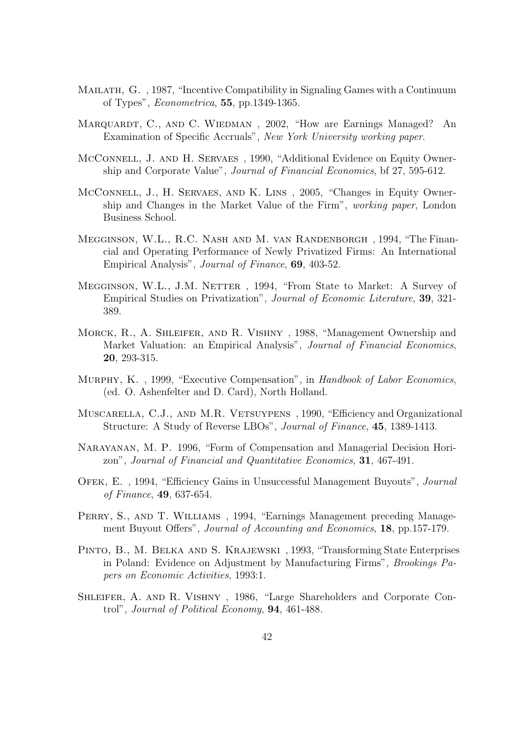- Mailath, G. , 1987, "Incentive Compatibility in Signaling Games with a Continuum of Types", Econometrica, 55, pp.1349-1365.
- MARQUARDT, C., AND C. WIEDMAN, 2002, "How are Earnings Managed? An Examination of Specific Accruals", New York University working paper.
- McConnell, J. AND H. SERVAES, 1990, "Additional Evidence on Equity Ownership and Corporate Value", Journal of Financial Economics, bf 27, 595-612.
- MCCONNELL, J., H. SERVAES, AND K. LINS, 2005, "Changes in Equity Ownership and Changes in the Market Value of the Firm", working paper, London Business School.
- Megginson, W.L., R.C. Nash and M. van Randenborgh , 1994, "The Financial and Operating Performance of Newly Privatized Firms: An International Empirical Analysis", Journal of Finance, 69, 403-52.
- MEGGINSON, W.L., J.M. NETTER, 1994, "From State to Market: A Survey of Empirical Studies on Privatization", Journal of Economic Literature, 39, 321- 389.
- Morck, R., A. Shleifer, and R. Vishny , 1988, "Management Ownership and Market Valuation: an Empirical Analysis", Journal of Financial Economics, 20, 293-315.
- Murphy, K. , 1999, "Executive Compensation", in Handbook of Labor Economics, (ed. O. Ashenfelter and D. Card), North Holland.
- Muscarella, C.J., and M.R. Vetsuypens , 1990, "Efficiency and Organizational Structure: A Study of Reverse LBOs", Journal of Finance, 45, 1389-1413.
- Narayanan, M. P. 1996, "Form of Compensation and Managerial Decision Horizon", Journal of Financial and Quantitative Economics, 31, 467-491.
- Ofek, E. , 1994, "Efficiency Gains in Unsuccessful Management Buyouts", Journal of Finance, 49, 637-654.
- PERRY, S., AND T. WILLIAMS, 1994, "Earnings Management preceding Management Buyout Offers", *Journal of Accounting and Economics*, **18**, pp.157-179.
- Pinto, B., M. Belka and S. Krajewski , 1993, "Transforming State Enterprises in Poland: Evidence on Adjustment by Manufacturing Firms", Brookings Papers on Economic Activities, 1993:1.
- Shleifer, A. and R. Vishny , 1986, "Large Shareholders and Corporate Control", Journal of Political Economy, 94, 461-488.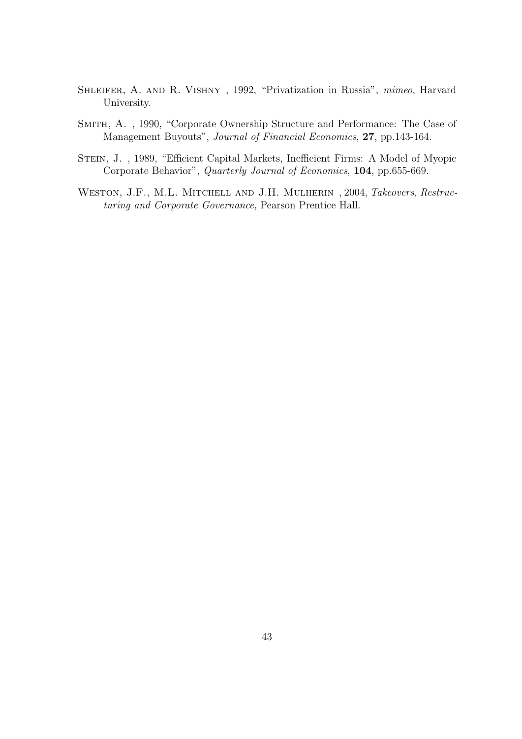- Shleifer, A. and R. Vishny , 1992, "Privatization in Russia", mimeo, Harvard University.
- Smith, A. , 1990, "Corporate Ownership Structure and Performance: The Case of Management Buyouts", Journal of Financial Economics, 27, pp.143-164.
- Stein, J. , 1989, "Efficient Capital Markets, Inefficient Firms: A Model of Myopic Corporate Behavior", Quarterly Journal of Economics, 104, pp.655-669.
- WESTON, J.F., M.L. MITCHELL AND J.H. MULHERIN, 2004, Takeovers, Restructuring and Corporate Governance, Pearson Prentice Hall.